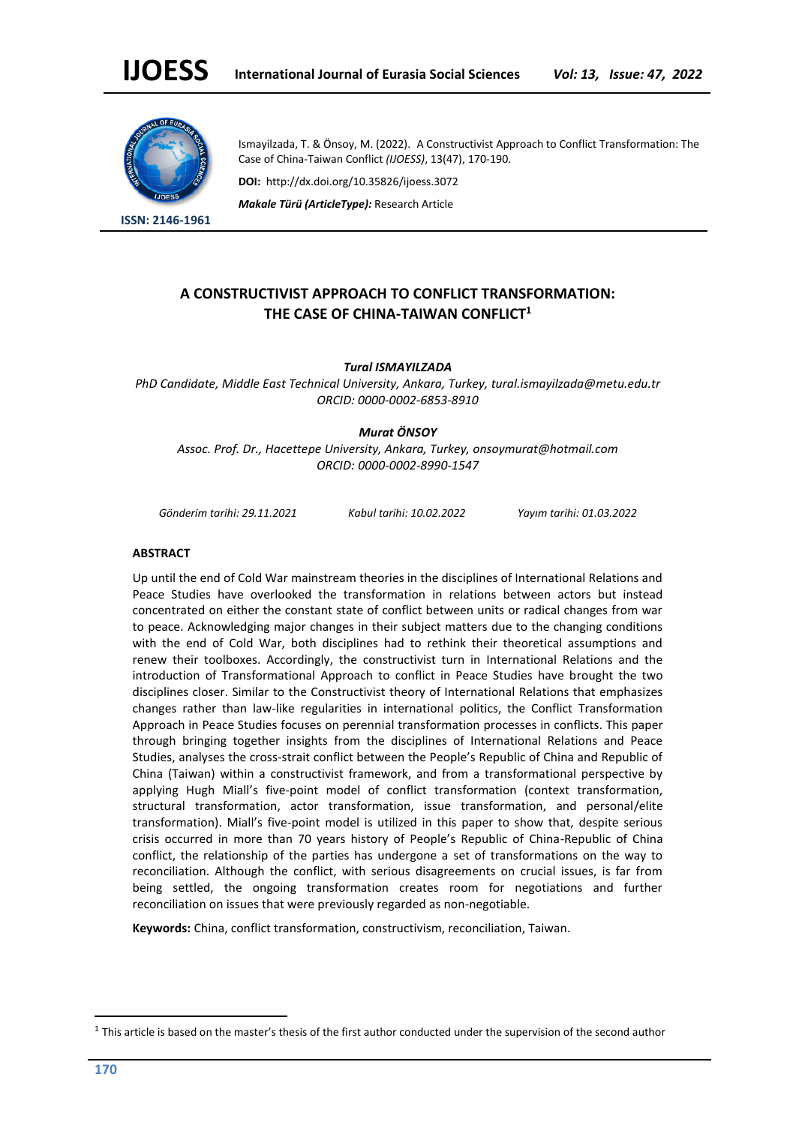

**ISSN: 2146-1961**

Ismayilzada, T. & Önsoy, M. (2022). A Constructivist Approach to Conflict Transformation: The Case of China-Taiwan Conflict *(IJOESS)*, 13(47), 170-190.

**DOI:** http://dx.doi.org/10.35826/ijoess.3072

*Makale Türü (ArticleType):* Research Article

# **A CONSTRUCTIVIST APPROACH TO CONFLICT TRANSFORMATION: THE CASE OF CHINA-TAIWAN CONFLICT<sup>1</sup>**

*Tural ISMAYILZADA* 

*PhD Candidate, Middle East Technical University, Ankara, Turkey, tural.ismayilzada@metu.edu.tr ORCID: 0000-0002-6853-8910*

## *Murat ÖNSOY*

*Assoc. Prof. Dr., Hacettepe University, Ankara, Turkey, onsoymurat@hotmail.com ORCID: 0000-0002-8990-1547*

*Gönderim tarihi: 29.11.2021 Kabul tarihi: 10.02.2022 Yayım tarihi: 01.03.2022*

#### **ABSTRACT**

Up until the end of Cold War mainstream theories in the disciplines of International Relations and Peace Studies have overlooked the transformation in relations between actors but instead concentrated on either the constant state of conflict between units or radical changes from war to peace. Acknowledging major changes in their subject matters due to the changing conditions with the end of Cold War, both disciplines had to rethink their theoretical assumptions and renew their toolboxes. Accordingly, the constructivist turn in International Relations and the introduction of Transformational Approach to conflict in Peace Studies have brought the two disciplines closer. Similar to the Constructivist theory of International Relations that emphasizes changes rather than law-like regularities in international politics, the Conflict Transformation Approach in Peace Studies focuses on perennial transformation processes in conflicts. This paper through bringing together insights from the disciplines of International Relations and Peace Studies, analyses the cross-strait conflict between the People's Republic of China and Republic of China (Taiwan) within a constructivist framework, and from a transformational perspective by applying Hugh Miall's five-point model of conflict transformation (context transformation, structural transformation, actor transformation, issue transformation, and personal/elite transformation). Miall's five-point model is utilized in this paper to show that, despite serious crisis occurred in more than 70 years history of People's Republic of China-Republic of China conflict, the relationship of the parties has undergone a set of transformations on the way to reconciliation. Although the conflict, with serious disagreements on crucial issues, is far from being settled, the ongoing transformation creates room for negotiations and further reconciliation on issues that were previously regarded as non-negotiable.

**Keywords:** China, conflict transformation, constructivism, reconciliation, Taiwan.

 $1$  This article is based on the master's thesis of the first author conducted under the supervision of the second author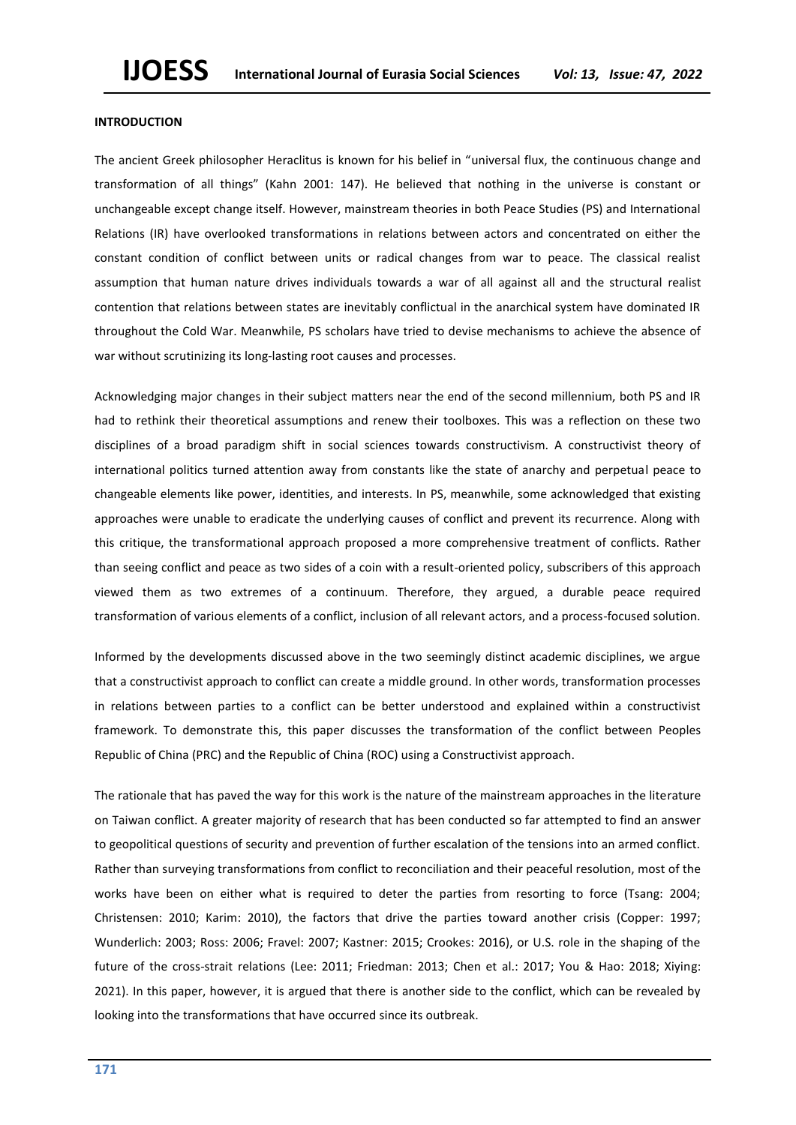#### **INTRODUCTION**

The ancient Greek philosopher Heraclitus is known for his belief in "universal flux, the continuous change and transformation of all things" (Kahn 2001: 147). He believed that nothing in the universe is constant or unchangeable except change itself. However, mainstream theories in both Peace Studies (PS) and International Relations (IR) have overlooked transformations in relations between actors and concentrated on either the constant condition of conflict between units or radical changes from war to peace. The classical realist assumption that human nature drives individuals towards a war of all against all and the structural realist contention that relations between states are inevitably conflictual in the anarchical system have dominated IR throughout the Cold War. Meanwhile, PS scholars have tried to devise mechanisms to achieve the absence of war without scrutinizing its long-lasting root causes and processes.

Acknowledging major changes in their subject matters near the end of the second millennium, both PS and IR had to rethink their theoretical assumptions and renew their toolboxes. This was a reflection on these two disciplines of a broad paradigm shift in social sciences towards constructivism. A constructivist theory of international politics turned attention away from constants like the state of anarchy and perpetual peace to changeable elements like power, identities, and interests. In PS, meanwhile, some acknowledged that existing approaches were unable to eradicate the underlying causes of conflict and prevent its recurrence. Along with this critique, the transformational approach proposed a more comprehensive treatment of conflicts. Rather than seeing conflict and peace as two sides of a coin with a result-oriented policy, subscribers of this approach viewed them as two extremes of a continuum. Therefore, they argued, a durable peace required transformation of various elements of a conflict, inclusion of all relevant actors, and a process-focused solution.

Informed by the developments discussed above in the two seemingly distinct academic disciplines, we argue that a constructivist approach to conflict can create a middle ground. In other words, transformation processes in relations between parties to a conflict can be better understood and explained within a constructivist framework. To demonstrate this, this paper discusses the transformation of the conflict between Peoples Republic of China (PRC) and the Republic of China (ROC) using a Constructivist approach.

The rationale that has paved the way for this work is the nature of the mainstream approaches in the literature on Taiwan conflict. A greater majority of research that has been conducted so far attempted to find an answer to geopolitical questions of security and prevention of further escalation of the tensions into an armed conflict. Rather than surveying transformations from conflict to reconciliation and their peaceful resolution, most of the works have been on either what is required to deter the parties from resorting to force (Tsang: 2004; Christensen: 2010; Karim: 2010), the factors that drive the parties toward another crisis (Copper: 1997; Wunderlich: 2003; Ross: 2006; Fravel: 2007; Kastner: 2015; Crookes: 2016), or U.S. role in the shaping of the future of the cross-strait relations (Lee: 2011; Friedman: 2013; Chen et al.: 2017; You & Hao: 2018; Xiying: 2021). In this paper, however, it is argued that there is another side to the conflict, which can be revealed by looking into the transformations that have occurred since its outbreak.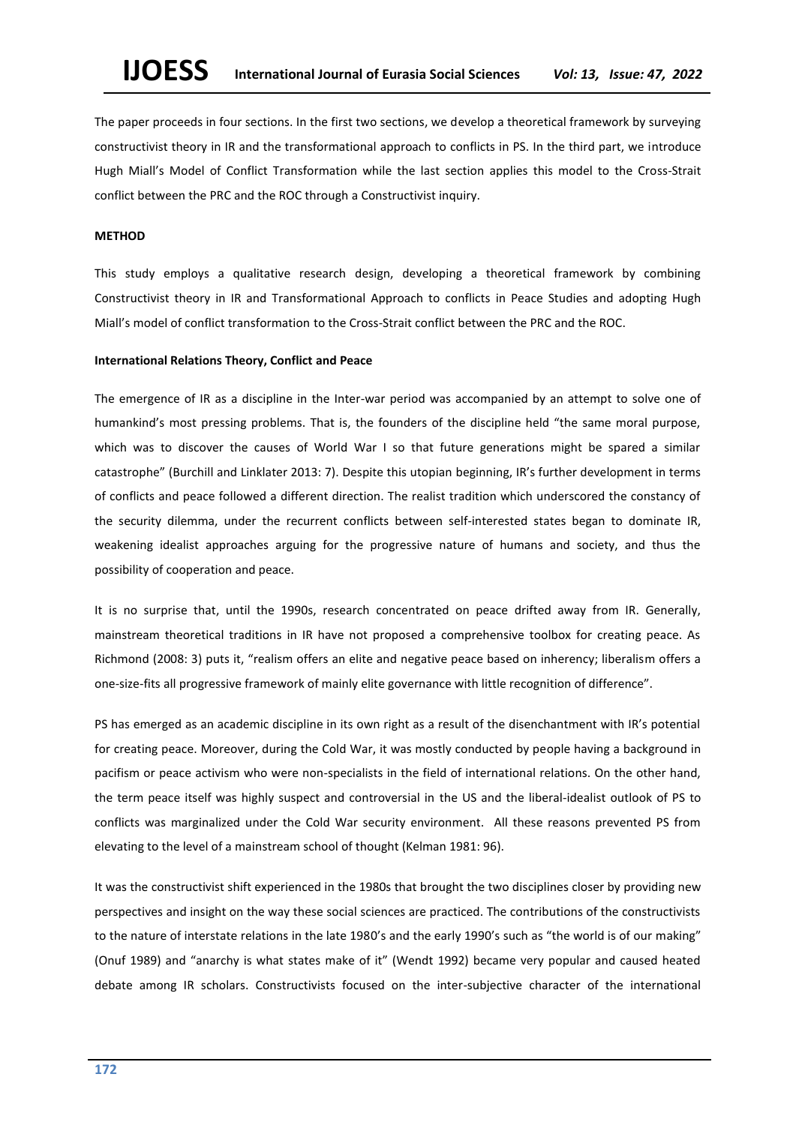The paper proceeds in four sections. In the first two sections, we develop a theoretical framework by surveying constructivist theory in IR and the transformational approach to conflicts in PS. In the third part, we introduce Hugh Miall's Model of Conflict Transformation while the last section applies this model to the Cross-Strait conflict between the PRC and the ROC through a Constructivist inquiry.

#### **METHOD**

This study employs a qualitative research design, developing a theoretical framework by combining Constructivist theory in IR and Transformational Approach to conflicts in Peace Studies and adopting Hugh Miall's model of conflict transformation to the Cross-Strait conflict between the PRC and the ROC.

#### **International Relations Theory, Conflict and Peace**

The emergence of IR as a discipline in the Inter-war period was accompanied by an attempt to solve one of humankind's most pressing problems. That is, the founders of the discipline held "the same moral purpose, which was to discover the causes of World War I so that future generations might be spared a similar catastrophe" (Burchill and Linklater 2013: 7). Despite this utopian beginning, IR's further development in terms of conflicts and peace followed a different direction. The realist tradition which underscored the constancy of the security dilemma, under the recurrent conflicts between self-interested states began to dominate IR, weakening idealist approaches arguing for the progressive nature of humans and society, and thus the possibility of cooperation and peace.

It is no surprise that, until the 1990s, research concentrated on peace drifted away from IR. Generally, mainstream theoretical traditions in IR have not proposed a comprehensive toolbox for creating peace. As Richmond (2008: 3) puts it, "realism offers an elite and negative peace based on inherency; liberalism offers a one-size-fits all progressive framework of mainly elite governance with little recognition of difference".

PS has emerged as an academic discipline in its own right as a result of the disenchantment with IR's potential for creating peace. Moreover, during the Cold War, it was mostly conducted by people having a background in pacifism or peace activism who were non-specialists in the field of international relations. On the other hand, the term peace itself was highly suspect and controversial in the US and the liberal-idealist outlook of PS to conflicts was marginalized under the Cold War security environment. All these reasons prevented PS from elevating to the level of a mainstream school of thought (Kelman 1981: 96).

It was the constructivist shift experienced in the 1980s that brought the two disciplines closer by providing new perspectives and insight on the way these social sciences are practiced. The contributions of the constructivists to the nature of interstate relations in the late 1980's and the early 1990's such as "the world is of our making" (Onuf 1989) and "anarchy is what states make of it" (Wendt 1992) became very popular and caused heated debate among IR scholars. Constructivists focused on the inter-subjective character of the international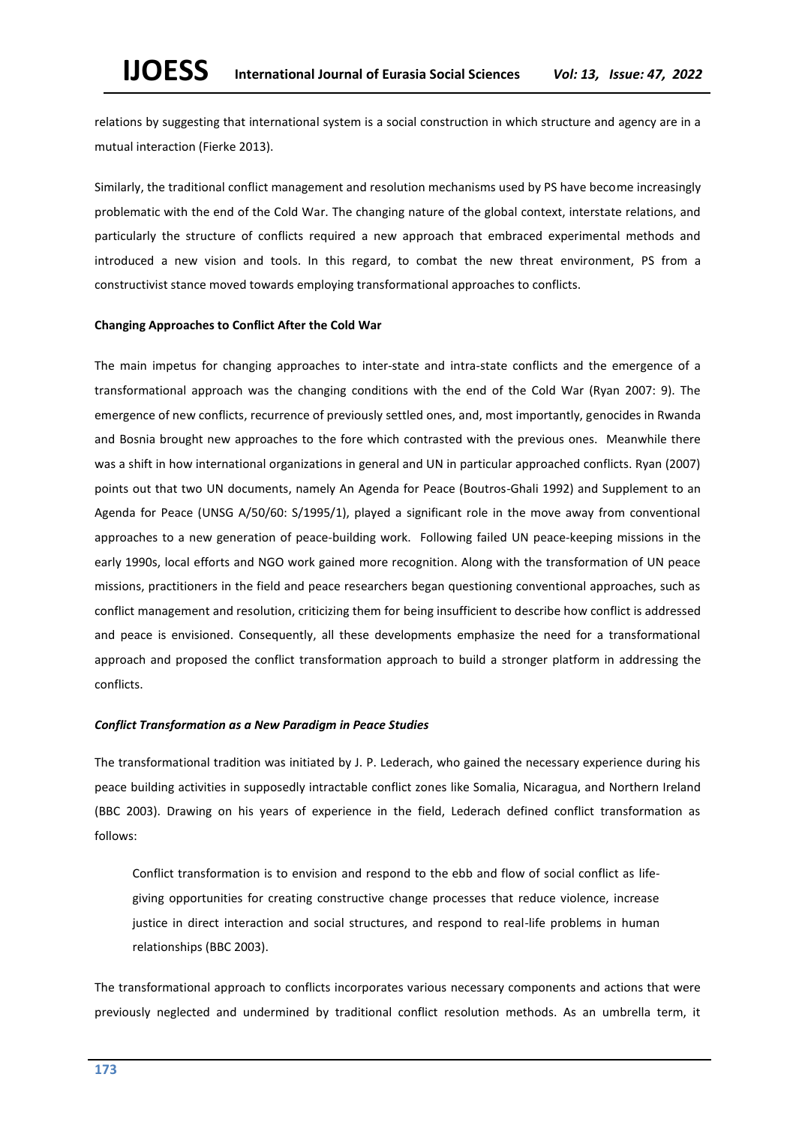relations by suggesting that international system is a social construction in which structure and agency are in a mutual interaction (Fierke 2013).

Similarly, the traditional conflict management and resolution mechanisms used by PS have become increasingly problematic with the end of the Cold War. The changing nature of the global context, interstate relations, and particularly the structure of conflicts required a new approach that embraced experimental methods and introduced a new vision and tools. In this regard, to combat the new threat environment, PS from a constructivist stance moved towards employing transformational approaches to conflicts.

#### **Changing Approaches to Conflict After the Cold War**

The main impetus for changing approaches to inter-state and intra-state conflicts and the emergence of a transformational approach was the changing conditions with the end of the Cold War (Ryan 2007: 9). The emergence of new conflicts, recurrence of previously settled ones, and, most importantly, genocides in Rwanda and Bosnia brought new approaches to the fore which contrasted with the previous ones. Meanwhile there was a shift in how international organizations in general and UN in particular approached conflicts. Ryan (2007) points out that two UN documents, namely An Agenda for Peace (Boutros-Ghali 1992) and Supplement to an Agenda for Peace (UNSG A/50/60: S/1995/1), played a significant role in the move away from conventional approaches to a new generation of peace-building work. Following failed UN peace-keeping missions in the early 1990s, local efforts and NGO work gained more recognition. Along with the transformation of UN peace missions, practitioners in the field and peace researchers began questioning conventional approaches, such as conflict management and resolution, criticizing them for being insufficient to describe how conflict is addressed and peace is envisioned. Consequently, all these developments emphasize the need for a transformational approach and proposed the conflict transformation approach to build a stronger platform in addressing the conflicts.

# *Conflict Transformation as a New Paradigm in Peace Studies*

The transformational tradition was initiated by J. P. Lederach, who gained the necessary experience during his peace building activities in supposedly intractable conflict zones like Somalia, Nicaragua, and Northern Ireland (BBC 2003). Drawing on his years of experience in the field, Lederach defined conflict transformation as follows:

Conflict transformation is to envision and respond to the ebb and flow of social conflict as lifegiving opportunities for creating constructive change processes that reduce violence, increase justice in direct interaction and social structures, and respond to real-life problems in human relationships (BBC 2003).

The transformational approach to conflicts incorporates various necessary components and actions that were previously neglected and undermined by traditional conflict resolution methods. As an umbrella term, it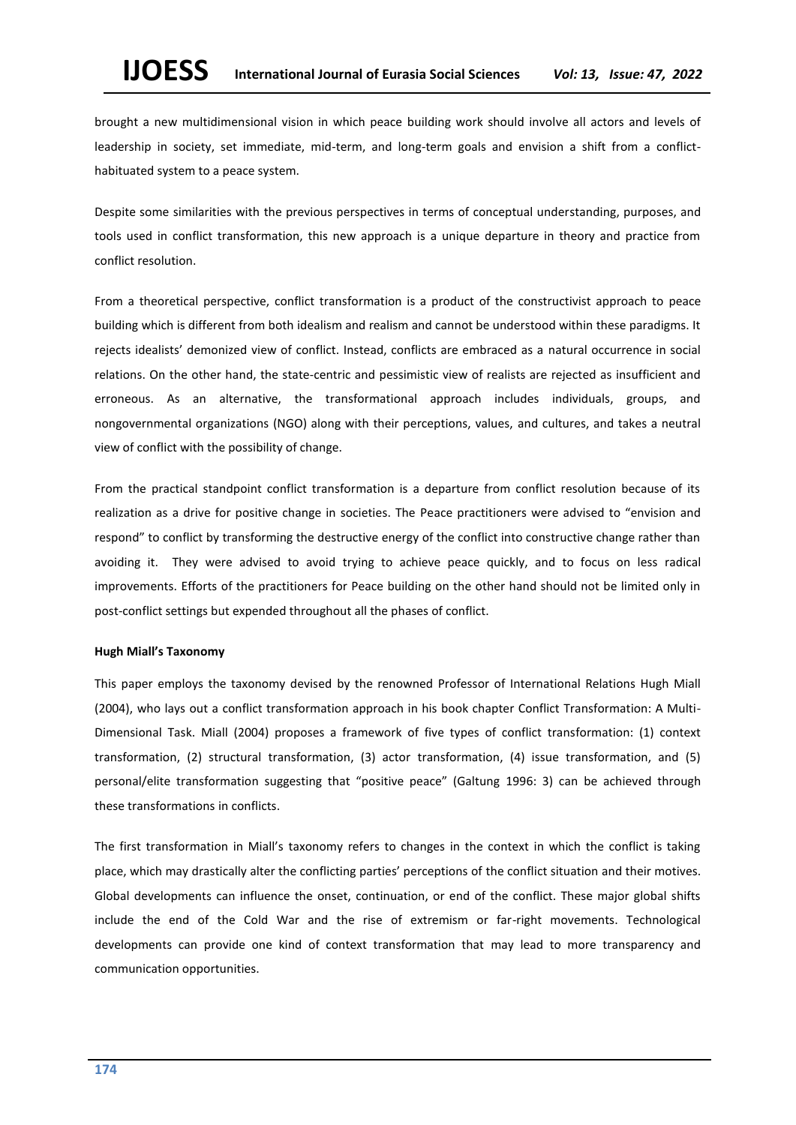brought a new multidimensional vision in which peace building work should involve all actors and levels of leadership in society, set immediate, mid-term, and long-term goals and envision a shift from a conflicthabituated system to a peace system.

Despite some similarities with the previous perspectives in terms of conceptual understanding, purposes, and tools used in conflict transformation, this new approach is a unique departure in theory and practice from conflict resolution.

From a theoretical perspective, conflict transformation is a product of the constructivist approach to peace building which is different from both idealism and realism and cannot be understood within these paradigms. It rejects idealists' demonized view of conflict. Instead, conflicts are embraced as a natural occurrence in social relations. On the other hand, the state-centric and pessimistic view of realists are rejected as insufficient and erroneous. As an alternative, the transformational approach includes individuals, groups, and nongovernmental organizations (NGO) along with their perceptions, values, and cultures, and takes a neutral view of conflict with the possibility of change.

From the practical standpoint conflict transformation is a departure from conflict resolution because of its realization as a drive for positive change in societies. The Peace practitioners were advised to "envision and respond" to conflict by transforming the destructive energy of the conflict into constructive change rather than avoiding it. They were advised to avoid trying to achieve peace quickly, and to focus on less radical improvements. Efforts of the practitioners for Peace building on the other hand should not be limited only in post-conflict settings but expended throughout all the phases of conflict.

#### **Hugh Miall's Taxonomy**

This paper employs the taxonomy devised by the renowned Professor of International Relations Hugh Miall (2004), who lays out a conflict transformation approach in his book chapter Conflict Transformation: A Multi-Dimensional Task. Miall (2004) proposes a framework of five types of conflict transformation: (1) context transformation, (2) structural transformation, (3) actor transformation, (4) issue transformation, and (5) personal/elite transformation suggesting that "positive peace" (Galtung 1996: 3) can be achieved through these transformations in conflicts.

The first transformation in Miall's taxonomy refers to changes in the context in which the conflict is taking place, which may drastically alter the conflicting parties' perceptions of the conflict situation and their motives. Global developments can influence the onset, continuation, or end of the conflict. These major global shifts include the end of the Cold War and the rise of extremism or far-right movements. Technological developments can provide one kind of context transformation that may lead to more transparency and communication opportunities.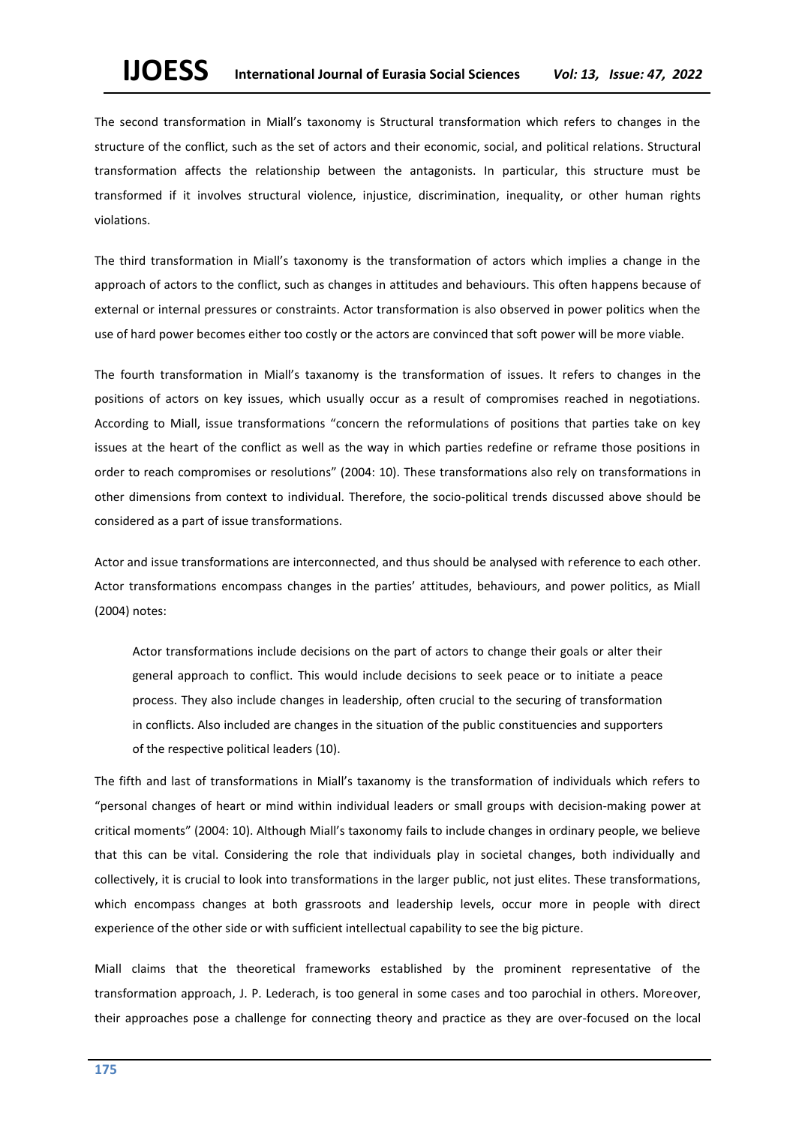The second transformation in Miall's taxonomy is Structural transformation which refers to changes in the structure of the conflict, such as the set of actors and their economic, social, and political relations. Structural transformation affects the relationship between the antagonists. In particular, this structure must be transformed if it involves structural violence, injustice, discrimination, inequality, or other human rights violations.

The third transformation in Miall's taxonomy is the transformation of actors which implies a change in the approach of actors to the conflict, such as changes in attitudes and behaviours. This often happens because of external or internal pressures or constraints. Actor transformation is also observed in power politics when the use of hard power becomes either too costly or the actors are convinced that soft power will be more viable.

The fourth transformation in Miall's taxanomy is the transformation of issues. It refers to changes in the positions of actors on key issues, which usually occur as a result of compromises reached in negotiations. According to Miall, issue transformations "concern the reformulations of positions that parties take on key issues at the heart of the conflict as well as the way in which parties redefine or reframe those positions in order to reach compromises or resolutions" (2004: 10). These transformations also rely on transformations in other dimensions from context to individual. Therefore, the socio-political trends discussed above should be considered as a part of issue transformations.

Actor and issue transformations are interconnected, and thus should be analysed with reference to each other. Actor transformations encompass changes in the parties' attitudes, behaviours, and power politics, as Miall (2004) notes:

Actor transformations include decisions on the part of actors to change their goals or alter their general approach to conflict. This would include decisions to seek peace or to initiate a peace process. They also include changes in leadership, often crucial to the securing of transformation in conflicts. Also included are changes in the situation of the public constituencies and supporters of the respective political leaders (10).

The fifth and last of transformations in Miall's taxanomy is the transformation of individuals which refers to "personal changes of heart or mind within individual leaders or small groups with decision-making power at critical moments" (2004: 10). Although Miall's taxonomy fails to include changes in ordinary people, we believe that this can be vital. Considering the role that individuals play in societal changes, both individually and collectively, it is crucial to look into transformations in the larger public, not just elites. These transformations, which encompass changes at both grassroots and leadership levels, occur more in people with direct experience of the other side or with sufficient intellectual capability to see the big picture.

Miall claims that the theoretical frameworks established by the prominent representative of the transformation approach, J. P. Lederach, is too general in some cases and too parochial in others. Moreover, their approaches pose a challenge for connecting theory and practice as they are over-focused on the local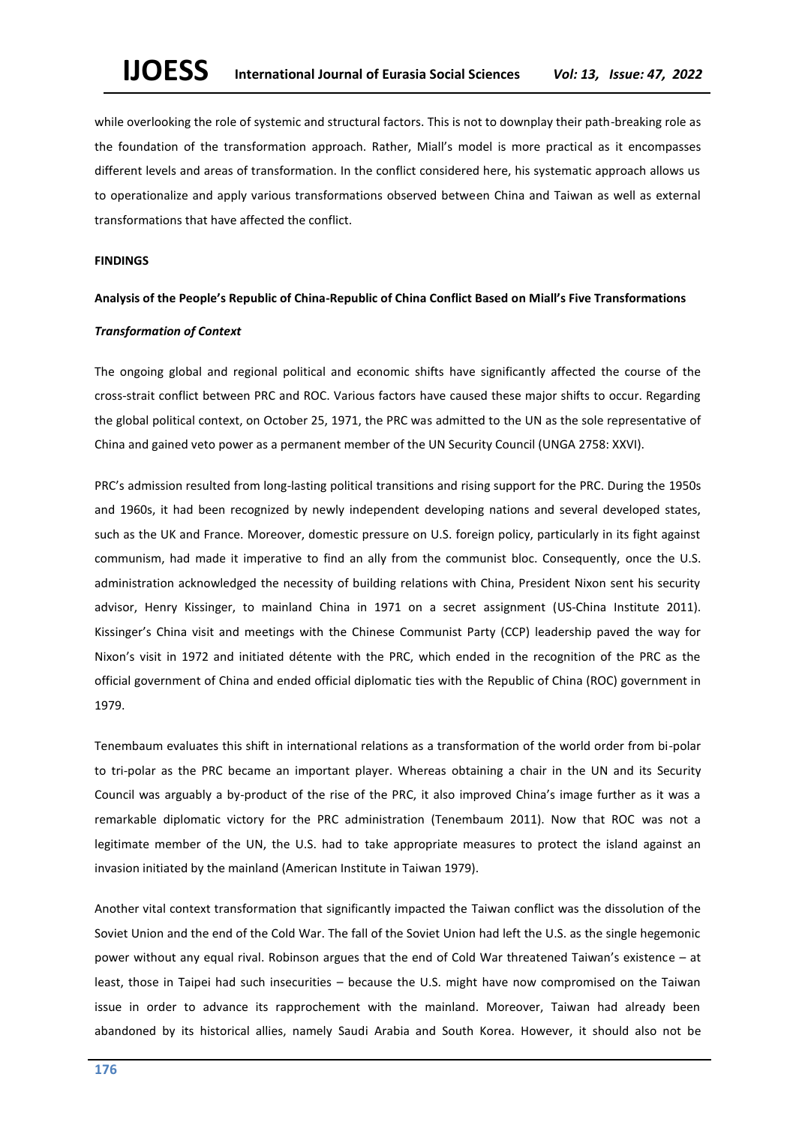while overlooking the role of systemic and structural factors. This is not to downplay their path-breaking role as the foundation of the transformation approach. Rather, Miall's model is more practical as it encompasses different levels and areas of transformation. In the conflict considered here, his systematic approach allows us to operationalize and apply various transformations observed between China and Taiwan as well as external transformations that have affected the conflict.

#### **FINDINGS**

#### **Analysis of the People's Republic of China-Republic of China Conflict Based on Miall's Five Transformations**

#### *Transformation of Context*

The ongoing global and regional political and economic shifts have significantly affected the course of the cross-strait conflict between PRC and ROC. Various factors have caused these major shifts to occur. Regarding the global political context, on October 25, 1971, the PRC was admitted to the UN as the sole representative of China and gained veto power as a permanent member of the UN Security Council (UNGA 2758: XXVI).

PRC's admission resulted from long-lasting political transitions and rising support for the PRC. During the 1950s and 1960s, it had been recognized by newly independent developing nations and several developed states, such as the UK and France. Moreover, domestic pressure on U.S. foreign policy, particularly in its fight against communism, had made it imperative to find an ally from the communist bloc. Consequently, once the U.S. administration acknowledged the necessity of building relations with China, President Nixon sent his security advisor, Henry Kissinger, to mainland China in 1971 on a secret assignment (US-China Institute 2011). Kissinger's China visit and meetings with the Chinese Communist Party (CCP) leadership paved the way for Nixon's visit in 1972 and initiated détente with the PRC, which ended in the recognition of the PRC as the official government of China and ended official diplomatic ties with the Republic of China (ROC) government in 1979.

Tenembaum evaluates this shift in international relations as a transformation of the world order from bi-polar to tri-polar as the PRC became an important player. Whereas obtaining a chair in the UN and its Security Council was arguably a by-product of the rise of the PRC, it also improved China's image further as it was a remarkable diplomatic victory for the PRC administration (Tenembaum 2011). Now that ROC was not a legitimate member of the UN, the U.S. had to take appropriate measures to protect the island against an invasion initiated by the mainland (American Institute in Taiwan 1979).

Another vital context transformation that significantly impacted the Taiwan conflict was the dissolution of the Soviet Union and the end of the Cold War. The fall of the Soviet Union had left the U.S. as the single hegemonic power without any equal rival. Robinson argues that the end of Cold War threatened Taiwan's existence – at least, those in Taipei had such insecurities – because the U.S. might have now compromised on the Taiwan issue in order to advance its rapprochement with the mainland. Moreover, Taiwan had already been abandoned by its historical allies, namely Saudi Arabia and South Korea. However, it should also not be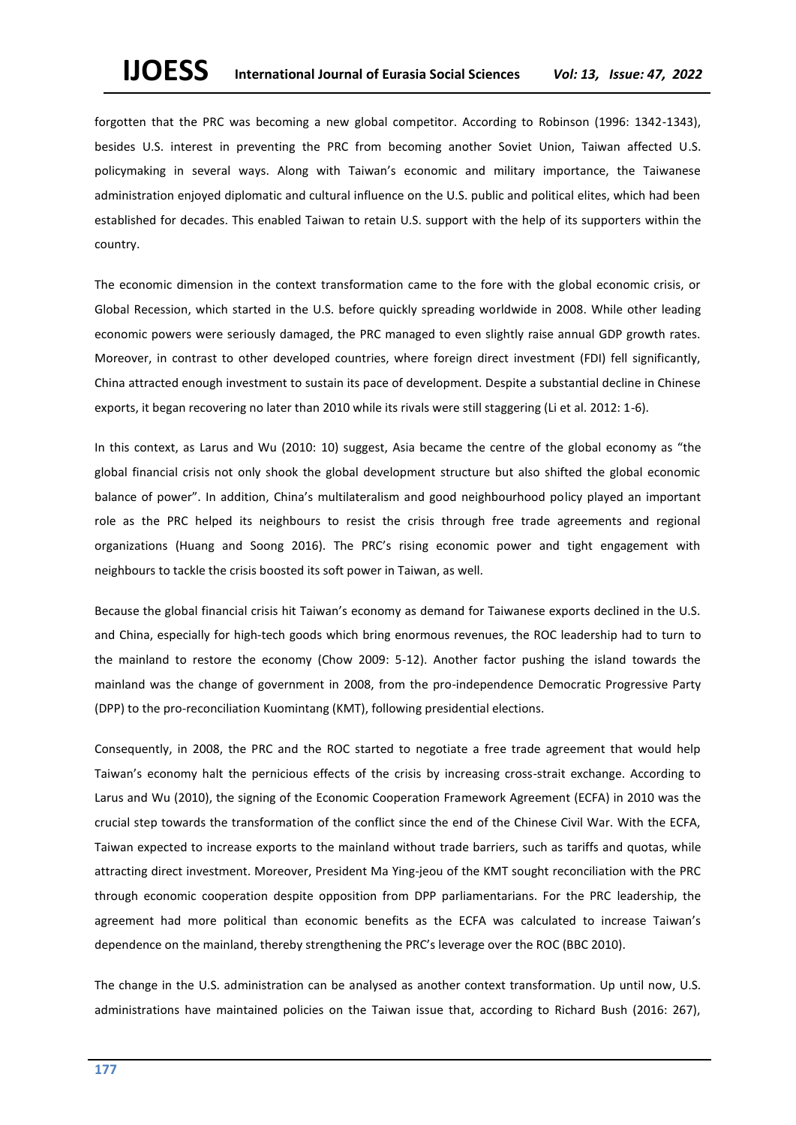forgotten that the PRC was becoming a new global competitor. According to Robinson (1996: 1342-1343), besides U.S. interest in preventing the PRC from becoming another Soviet Union, Taiwan affected U.S. policymaking in several ways. Along with Taiwan's economic and military importance, the Taiwanese administration enjoyed diplomatic and cultural influence on the U.S. public and political elites, which had been established for decades. This enabled Taiwan to retain U.S. support with the help of its supporters within the country.

The economic dimension in the context transformation came to the fore with the global economic crisis, or Global Recession, which started in the U.S. before quickly spreading worldwide in 2008. While other leading economic powers were seriously damaged, the PRC managed to even slightly raise annual GDP growth rates. Moreover, in contrast to other developed countries, where foreign direct investment (FDI) fell significantly, China attracted enough investment to sustain its pace of development. Despite a substantial decline in Chinese exports, it began recovering no later than 2010 while its rivals were still staggering (Li et al. 2012: 1-6).

In this context, as Larus and Wu (2010: 10) suggest, Asia became the centre of the global economy as "the global financial crisis not only shook the global development structure but also shifted the global economic balance of power". In addition, China's multilateralism and good neighbourhood policy played an important role as the PRC helped its neighbours to resist the crisis through free trade agreements and regional organizations (Huang and Soong 2016). The PRC's rising economic power and tight engagement with neighbours to tackle the crisis boosted its soft power in Taiwan, as well.

Because the global financial crisis hit Taiwan's economy as demand for Taiwanese exports declined in the U.S. and China, especially for high-tech goods which bring enormous revenues, the ROC leadership had to turn to the mainland to restore the economy (Chow 2009: 5-12). Another factor pushing the island towards the mainland was the change of government in 2008, from the pro-independence Democratic Progressive Party (DPP) to the pro-reconciliation Kuomintang (KMT), following presidential elections.

Consequently, in 2008, the PRC and the ROC started to negotiate a free trade agreement that would help Taiwan's economy halt the pernicious effects of the crisis by increasing cross-strait exchange. According to Larus and Wu (2010), the signing of the Economic Cooperation Framework Agreement (ECFA) in 2010 was the crucial step towards the transformation of the conflict since the end of the Chinese Civil War. With the ECFA, Taiwan expected to increase exports to the mainland without trade barriers, such as tariffs and quotas, while attracting direct investment. Moreover, President Ma Ying-jeou of the KMT sought reconciliation with the PRC through economic cooperation despite opposition from DPP parliamentarians. For the PRC leadership, the agreement had more political than economic benefits as the ECFA was calculated to increase Taiwan's dependence on the mainland, thereby strengthening the PRC's leverage over the ROC (BBC 2010).

The change in the U.S. administration can be analysed as another context transformation. Up until now, U.S. administrations have maintained policies on the Taiwan issue that, according to Richard Bush (2016: 267),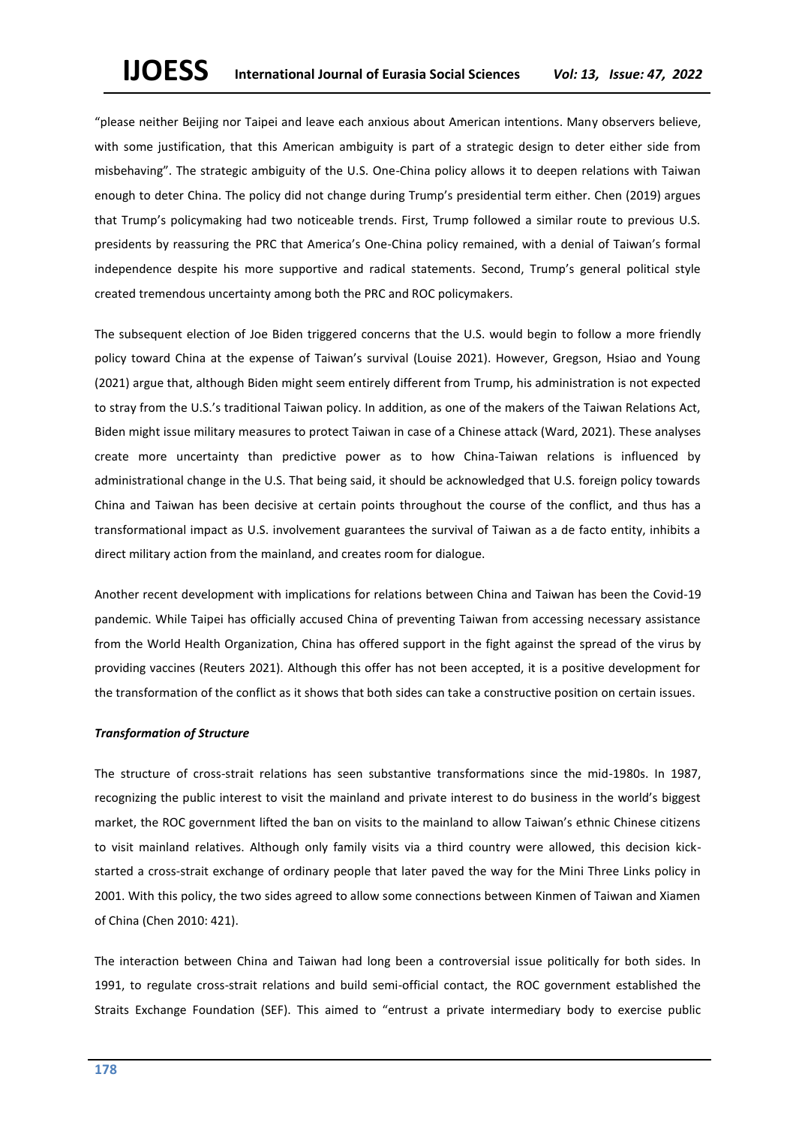"please neither Beijing nor Taipei and leave each anxious about American intentions. Many observers believe, with some justification, that this American ambiguity is part of a strategic design to deter either side from misbehaving". The strategic ambiguity of the U.S. One-China policy allows it to deepen relations with Taiwan enough to deter China. The policy did not change during Trump's presidential term either. Chen (2019) argues that Trump's policymaking had two noticeable trends. First, Trump followed a similar route to previous U.S. presidents by reassuring the PRC that America's One-China policy remained, with a denial of Taiwan's formal independence despite his more supportive and radical statements. Second, Trump's general political style created tremendous uncertainty among both the PRC and ROC policymakers.

The subsequent election of Joe Biden triggered concerns that the U.S. would begin to follow a more friendly policy toward China at the expense of Taiwan's survival (Louise 2021). However, Gregson, Hsiao and Young (2021) argue that, although Biden might seem entirely different from Trump, his administration is not expected to stray from the U.S.'s traditional Taiwan policy. In addition, as one of the makers of the Taiwan Relations Act, Biden might issue military measures to protect Taiwan in case of a Chinese attack (Ward, 2021). These analyses create more uncertainty than predictive power as to how China-Taiwan relations is influenced by administrational change in the U.S. That being said, it should be acknowledged that U.S. foreign policy towards China and Taiwan has been decisive at certain points throughout the course of the conflict, and thus has a transformational impact as U.S. involvement guarantees the survival of Taiwan as a de facto entity, inhibits a direct military action from the mainland, and creates room for dialogue.

Another recent development with implications for relations between China and Taiwan has been the Covid-19 pandemic. While Taipei has officially accused China of preventing Taiwan from accessing necessary assistance from the World Health Organization, China has offered support in the fight against the spread of the virus by providing vaccines (Reuters 2021). Although this offer has not been accepted, it is a positive development for the transformation of the conflict as it shows that both sides can take a constructive position on certain issues.

#### *Transformation of Structure*

The structure of cross-strait relations has seen substantive transformations since the mid-1980s. In 1987, recognizing the public interest to visit the mainland and private interest to do business in the world's biggest market, the ROC government lifted the ban on visits to the mainland to allow Taiwan's ethnic Chinese citizens to visit mainland relatives. Although only family visits via a third country were allowed, this decision kickstarted a cross-strait exchange of ordinary people that later paved the way for the Mini Three Links policy in 2001. With this policy, the two sides agreed to allow some connections between Kinmen of Taiwan and Xiamen of China (Chen 2010: 421).

The interaction between China and Taiwan had long been a controversial issue politically for both sides. In 1991, to regulate cross-strait relations and build semi-official contact, the ROC government established the Straits Exchange Foundation (SEF). This aimed to "entrust a private intermediary body to exercise public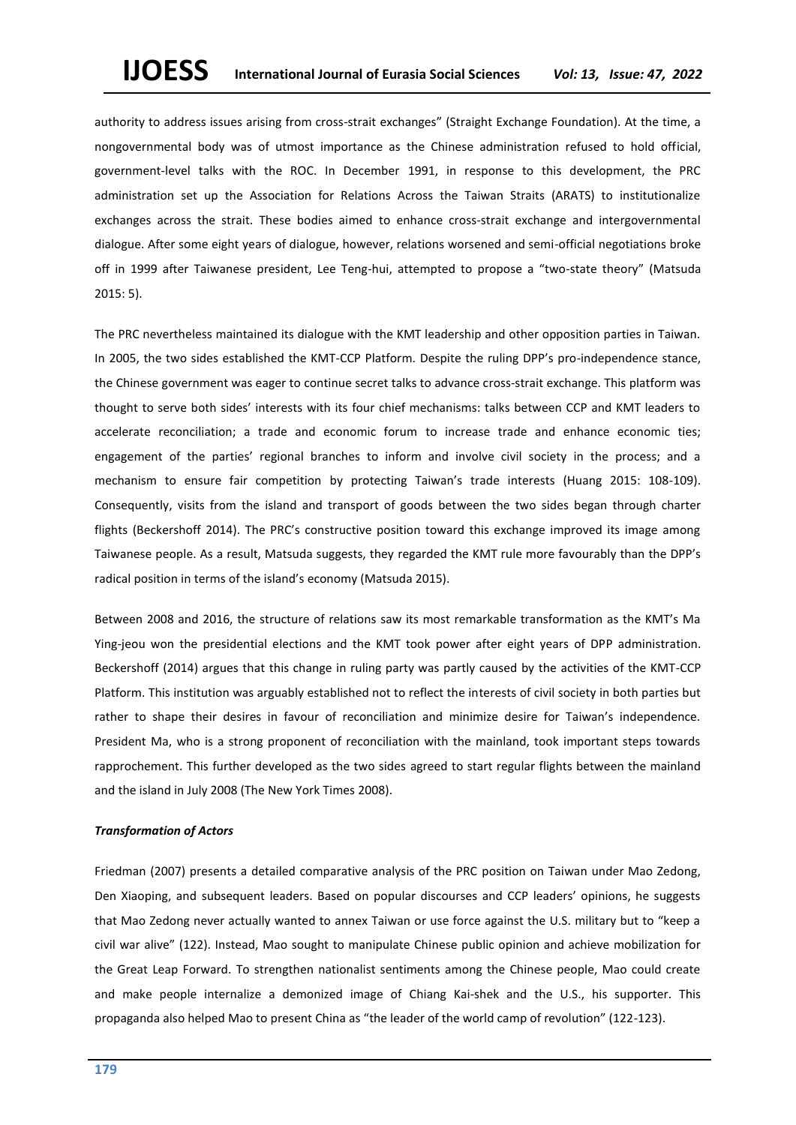authority to address issues arising from cross-strait exchanges" (Straight Exchange Foundation). At the time, a nongovernmental body was of utmost importance as the Chinese administration refused to hold official, government-level talks with the ROC. In December 1991, in response to this development, the PRC administration set up the Association for Relations Across the Taiwan Straits (ARATS) to institutionalize exchanges across the strait. These bodies aimed to enhance cross-strait exchange and intergovernmental dialogue. After some eight years of dialogue, however, relations worsened and semi-official negotiations broke off in 1999 after Taiwanese president, Lee Teng-hui, attempted to propose a "two-state theory" (Matsuda 2015: 5).

The PRC nevertheless maintained its dialogue with the KMT leadership and other opposition parties in Taiwan. In 2005, the two sides established the KMT-CCP Platform. Despite the ruling DPP's pro-independence stance, the Chinese government was eager to continue secret talks to advance cross-strait exchange. This platform was thought to serve both sides' interests with its four chief mechanisms: talks between CCP and KMT leaders to accelerate reconciliation; a trade and economic forum to increase trade and enhance economic ties; engagement of the parties' regional branches to inform and involve civil society in the process; and a mechanism to ensure fair competition by protecting Taiwan's trade interests (Huang 2015: 108-109). Consequently, visits from the island and transport of goods between the two sides began through charter flights (Beckershoff 2014). The PRC's constructive position toward this exchange improved its image among Taiwanese people. As a result, Matsuda suggests, they regarded the KMT rule more favourably than the DPP's radical position in terms of the island's economy (Matsuda 2015).

Between 2008 and 2016, the structure of relations saw its most remarkable transformation as the KMT's Ma Ying-jeou won the presidential elections and the KMT took power after eight years of DPP administration. Beckershoff (2014) argues that this change in ruling party was partly caused by the activities of the KMT-CCP Platform. This institution was arguably established not to reflect the interests of civil society in both parties but rather to shape their desires in favour of reconciliation and minimize desire for Taiwan's independence. President Ma, who is a strong proponent of reconciliation with the mainland, took important steps towards rapprochement. This further developed as the two sides agreed to start regular flights between the mainland and the island in July 2008 (The New York Times 2008).

#### *Transformation of Actors*

Friedman (2007) presents a detailed comparative analysis of the PRC position on Taiwan under Mao Zedong, Den Xiaoping, and subsequent leaders. Based on popular discourses and CCP leaders' opinions, he suggests that Mao Zedong never actually wanted to annex Taiwan or use force against the U.S. military but to "keep a civil war alive" (122). Instead, Mao sought to manipulate Chinese public opinion and achieve mobilization for the Great Leap Forward. To strengthen nationalist sentiments among the Chinese people, Mao could create and make people internalize a demonized image of Chiang Kai-shek and the U.S., his supporter. This propaganda also helped Mao to present China as "the leader of the world camp of revolution" (122-123).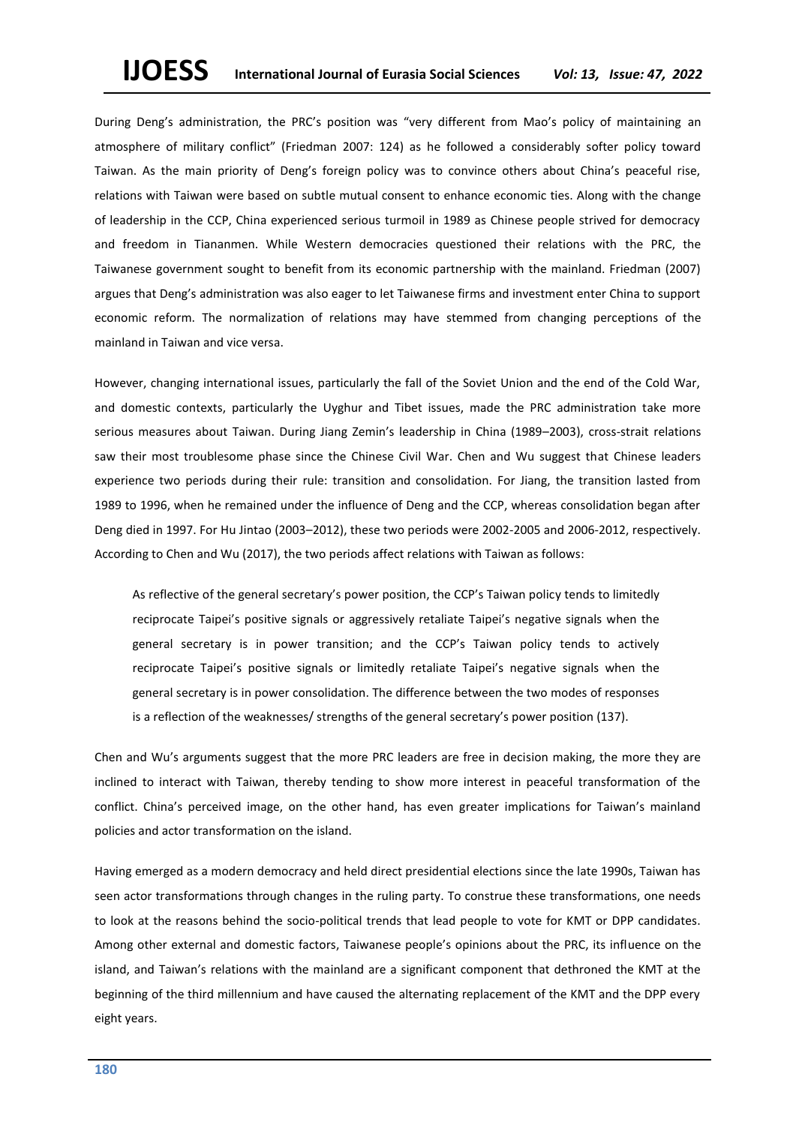During Deng's administration, the PRC's position was "very different from Mao's policy of maintaining an atmosphere of military conflict" (Friedman 2007: 124) as he followed a considerably softer policy toward Taiwan. As the main priority of Deng's foreign policy was to convince others about China's peaceful rise, relations with Taiwan were based on subtle mutual consent to enhance economic ties. Along with the change of leadership in the CCP, China experienced serious turmoil in 1989 as Chinese people strived for democracy and freedom in Tiananmen. While Western democracies questioned their relations with the PRC, the Taiwanese government sought to benefit from its economic partnership with the mainland. Friedman (2007) argues that Deng's administration was also eager to let Taiwanese firms and investment enter China to support economic reform. The normalization of relations may have stemmed from changing perceptions of the mainland in Taiwan and vice versa.

However, changing international issues, particularly the fall of the Soviet Union and the end of the Cold War, and domestic contexts, particularly the Uyghur and Tibet issues, made the PRC administration take more serious measures about Taiwan. During Jiang Zemin's leadership in China (1989–2003), cross-strait relations saw their most troublesome phase since the Chinese Civil War. Chen and Wu suggest that Chinese leaders experience two periods during their rule: transition and consolidation. For Jiang, the transition lasted from 1989 to 1996, when he remained under the influence of Deng and the CCP, whereas consolidation began after Deng died in 1997. For Hu Jintao (2003–2012), these two periods were 2002-2005 and 2006-2012, respectively. According to Chen and Wu (2017), the two periods affect relations with Taiwan as follows:

As reflective of the general secretary's power position, the CCP's Taiwan policy tends to limitedly reciprocate Taipei's positive signals or aggressively retaliate Taipei's negative signals when the general secretary is in power transition; and the CCP's Taiwan policy tends to actively reciprocate Taipei's positive signals or limitedly retaliate Taipei's negative signals when the general secretary is in power consolidation. The difference between the two modes of responses is a reflection of the weaknesses/ strengths of the general secretary's power position (137).

Chen and Wu's arguments suggest that the more PRC leaders are free in decision making, the more they are inclined to interact with Taiwan, thereby tending to show more interest in peaceful transformation of the conflict. China's perceived image, on the other hand, has even greater implications for Taiwan's mainland policies and actor transformation on the island.

Having emerged as a modern democracy and held direct presidential elections since the late 1990s, Taiwan has seen actor transformations through changes in the ruling party. To construe these transformations, one needs to look at the reasons behind the socio-political trends that lead people to vote for KMT or DPP candidates. Among other external and domestic factors, Taiwanese people's opinions about the PRC, its influence on the island, and Taiwan's relations with the mainland are a significant component that dethroned the KMT at the beginning of the third millennium and have caused the alternating replacement of the KMT and the DPP every eight years.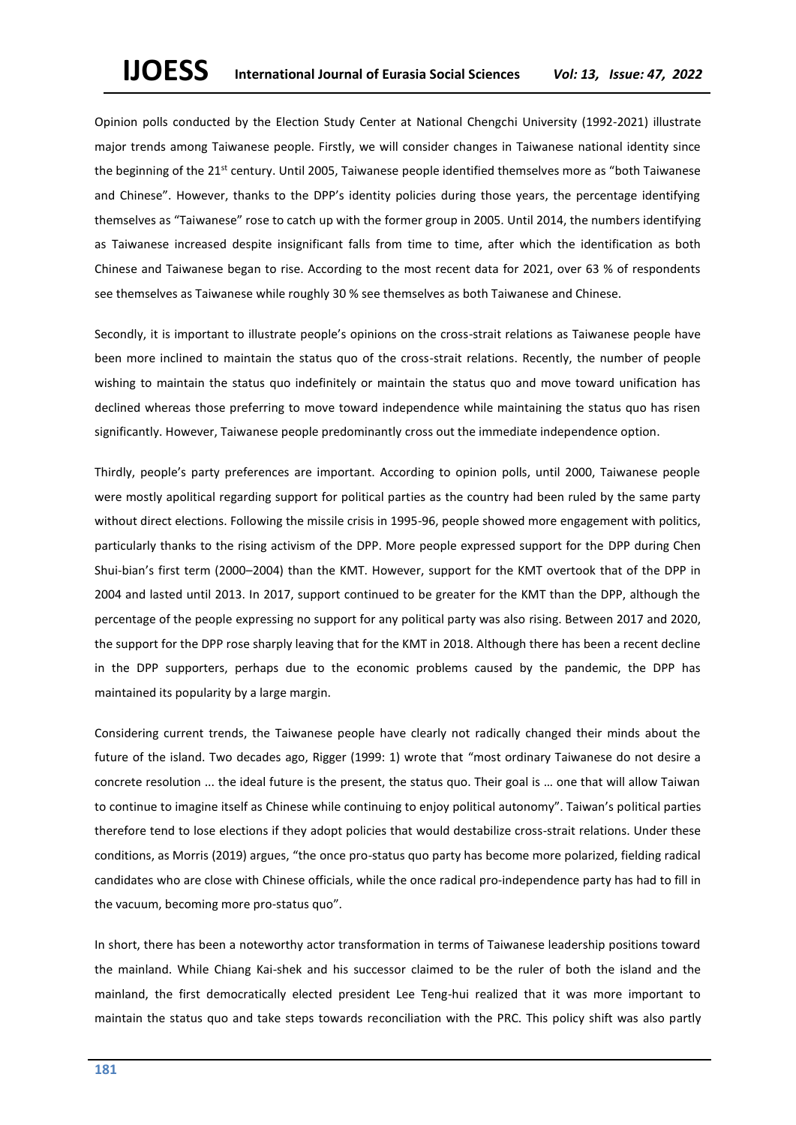Opinion polls conducted by the Election Study Center at National Chengchi University (1992-2021) illustrate major trends among Taiwanese people. Firstly, we will consider changes in Taiwanese national identity since the beginning of the 21<sup>st</sup> century. Until 2005, Taiwanese people identified themselves more as "both Taiwanese and Chinese". However, thanks to the DPP's identity policies during those years, the percentage identifying themselves as "Taiwanese" rose to catch up with the former group in 2005. Until 2014, the numbers identifying as Taiwanese increased despite insignificant falls from time to time, after which the identification as both Chinese and Taiwanese began to rise. According to the most recent data for 2021, over 63 % of respondents see themselves as Taiwanese while roughly 30 % see themselves as both Taiwanese and Chinese.

Secondly, it is important to illustrate people's opinions on the cross-strait relations as Taiwanese people have been more inclined to maintain the status quo of the cross-strait relations. Recently, the number of people wishing to maintain the status quo indefinitely or maintain the status quo and move toward unification has declined whereas those preferring to move toward independence while maintaining the status quo has risen significantly. However, Taiwanese people predominantly cross out the immediate independence option.

Thirdly, people's party preferences are important. According to opinion polls, until 2000, Taiwanese people were mostly apolitical regarding support for political parties as the country had been ruled by the same party without direct elections. Following the missile crisis in 1995-96, people showed more engagement with politics, particularly thanks to the rising activism of the DPP. More people expressed support for the DPP during Chen Shui-bian's first term (2000–2004) than the KMT. However, support for the KMT overtook that of the DPP in 2004 and lasted until 2013. In 2017, support continued to be greater for the KMT than the DPP, although the percentage of the people expressing no support for any political party was also rising. Between 2017 and 2020, the support for the DPP rose sharply leaving that for the KMT in 2018. Although there has been a recent decline in the DPP supporters, perhaps due to the economic problems caused by the pandemic, the DPP has maintained its popularity by a large margin.

Considering current trends, the Taiwanese people have clearly not radically changed their minds about the future of the island. Two decades ago, Rigger (1999: 1) wrote that "most ordinary Taiwanese do not desire a concrete resolution ... the ideal future is the present, the status quo. Their goal is … one that will allow Taiwan to continue to imagine itself as Chinese while continuing to enjoy political autonomy". Taiwan's political parties therefore tend to lose elections if they adopt policies that would destabilize cross-strait relations. Under these conditions, as Morris (2019) argues, "the once pro-status quo party has become more polarized, fielding radical candidates who are close with Chinese officials, while the once radical pro-independence party has had to fill in the vacuum, becoming more pro-status quo".

In short, there has been a noteworthy actor transformation in terms of Taiwanese leadership positions toward the mainland. While Chiang Kai-shek and his successor claimed to be the ruler of both the island and the mainland, the first democratically elected president Lee Teng-hui realized that it was more important to maintain the status quo and take steps towards reconciliation with the PRC. This policy shift was also partly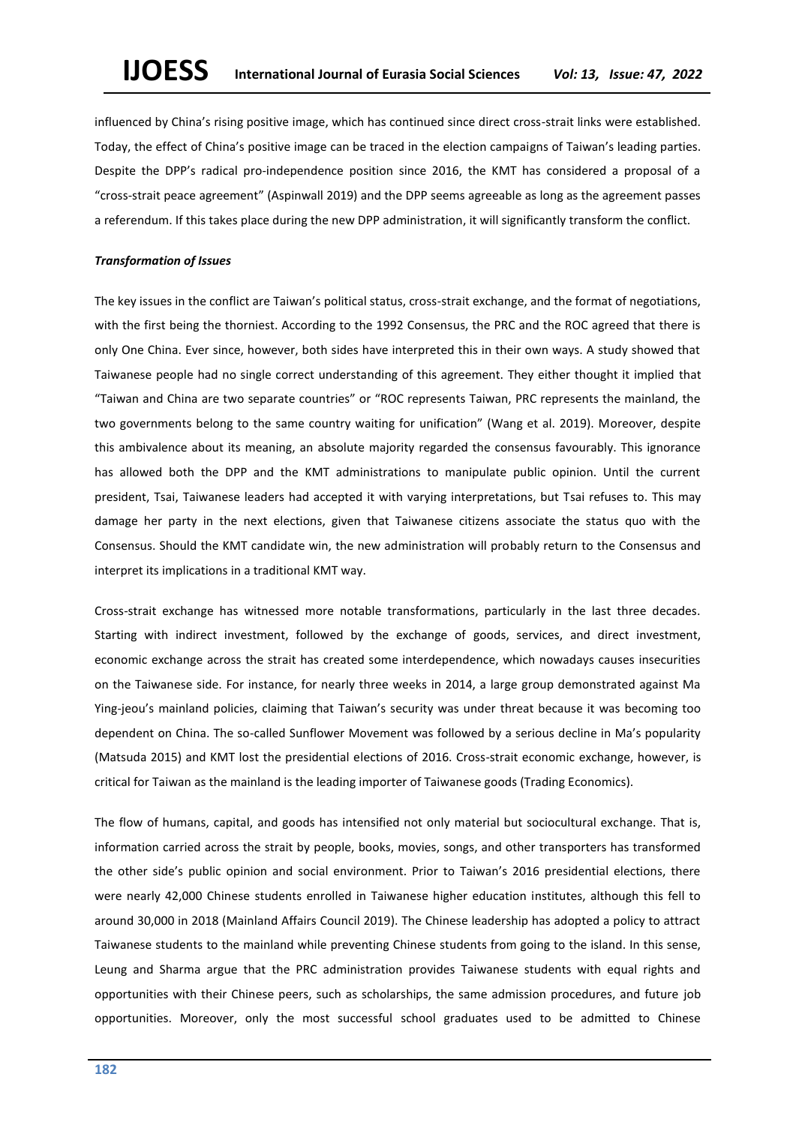influenced by China's rising positive image, which has continued since direct cross-strait links were established. Today, the effect of China's positive image can be traced in the election campaigns of Taiwan's leading parties. Despite the DPP's radical pro-independence position since 2016, the KMT has considered a proposal of a "cross-strait peace agreement" (Aspinwall 2019) and the DPP seems agreeable as long as the agreement passes a referendum. If this takes place during the new DPP administration, it will significantly transform the conflict.

#### *Transformation of Issues*

The key issues in the conflict are Taiwan's political status, cross-strait exchange, and the format of negotiations, with the first being the thorniest. According to the 1992 Consensus, the PRC and the ROC agreed that there is only One China. Ever since, however, both sides have interpreted this in their own ways. A study showed that Taiwanese people had no single correct understanding of this agreement. They either thought it implied that "Taiwan and China are two separate countries" or "ROC represents Taiwan, PRC represents the mainland, the two governments belong to the same country waiting for unification" (Wang et al. 2019). Moreover, despite this ambivalence about its meaning, an absolute majority regarded the consensus favourably. This ignorance has allowed both the DPP and the KMT administrations to manipulate public opinion. Until the current president, Tsai, Taiwanese leaders had accepted it with varying interpretations, but Tsai refuses to. This may damage her party in the next elections, given that Taiwanese citizens associate the status quo with the Consensus. Should the KMT candidate win, the new administration will probably return to the Consensus and interpret its implications in a traditional KMT way.

Cross-strait exchange has witnessed more notable transformations, particularly in the last three decades. Starting with indirect investment, followed by the exchange of goods, services, and direct investment, economic exchange across the strait has created some interdependence, which nowadays causes insecurities on the Taiwanese side. For instance, for nearly three weeks in 2014, a large group demonstrated against Ma Ying-jeou's mainland policies, claiming that Taiwan's security was under threat because it was becoming too dependent on China. The so-called Sunflower Movement was followed by a serious decline in Ma's popularity (Matsuda 2015) and KMT lost the presidential elections of 2016. Cross-strait economic exchange, however, is critical for Taiwan as the mainland is the leading importer of Taiwanese goods (Trading Economics).

The flow of humans, capital, and goods has intensified not only material but sociocultural exchange. That is, information carried across the strait by people, books, movies, songs, and other transporters has transformed the other side's public opinion and social environment. Prior to Taiwan's 2016 presidential elections, there were nearly 42,000 Chinese students enrolled in Taiwanese higher education institutes, although this fell to around 30,000 in 2018 (Mainland Affairs Council 2019). The Chinese leadership has adopted a policy to attract Taiwanese students to the mainland while preventing Chinese students from going to the island. In this sense, Leung and Sharma argue that the PRC administration provides Taiwanese students with equal rights and opportunities with their Chinese peers, such as scholarships, the same admission procedures, and future job opportunities. Moreover, only the most successful school graduates used to be admitted to Chinese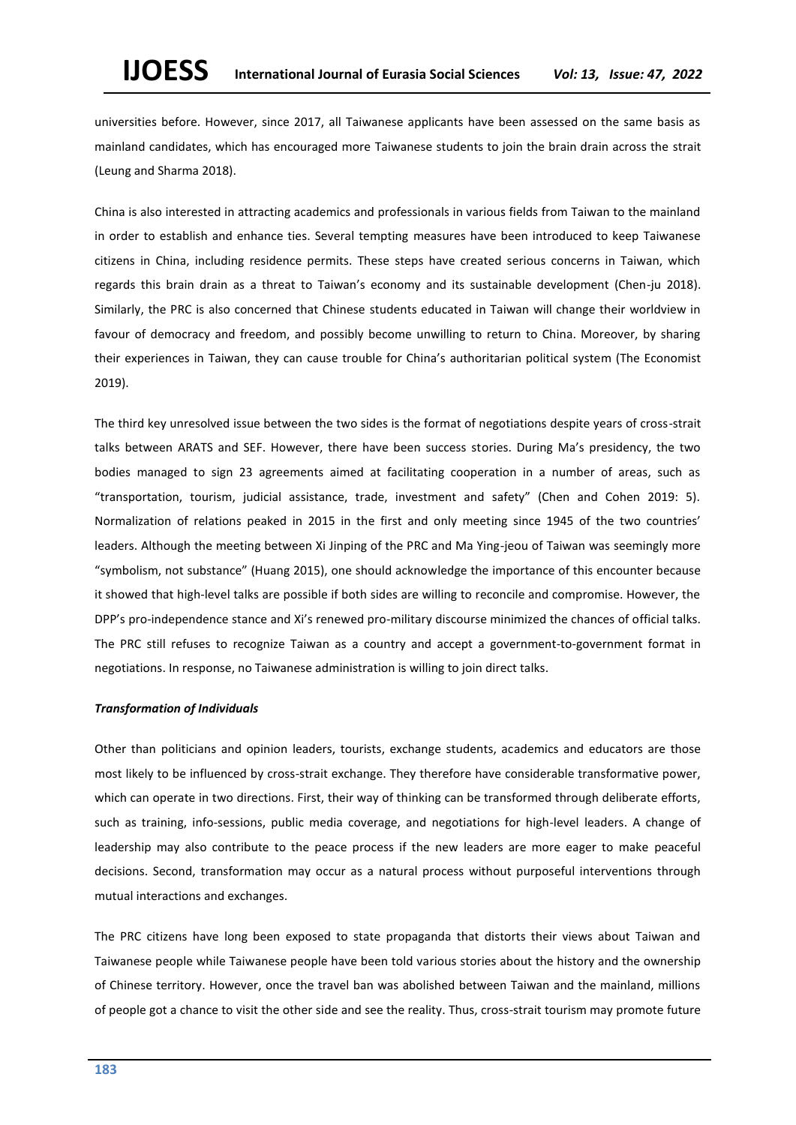universities before. However, since 2017, all Taiwanese applicants have been assessed on the same basis as mainland candidates, which has encouraged more Taiwanese students to join the brain drain across the strait (Leung and Sharma 2018).

China is also interested in attracting academics and professionals in various fields from Taiwan to the mainland in order to establish and enhance ties. Several tempting measures have been introduced to keep Taiwanese citizens in China, including residence permits. These steps have created serious concerns in Taiwan, which regards this brain drain as a threat to Taiwan's economy and its sustainable development (Chen-ju 2018). Similarly, the PRC is also concerned that Chinese students educated in Taiwan will change their worldview in favour of democracy and freedom, and possibly become unwilling to return to China. Moreover, by sharing their experiences in Taiwan, they can cause trouble for China's authoritarian political system (The Economist 2019).

The third key unresolved issue between the two sides is the format of negotiations despite years of cross-strait talks between ARATS and SEF. However, there have been success stories. During Ma's presidency, the two bodies managed to sign 23 agreements aimed at facilitating cooperation in a number of areas, such as "transportation, tourism, judicial assistance, trade, investment and safety" (Chen and Cohen 2019: 5). Normalization of relations peaked in 2015 in the first and only meeting since 1945 of the two countries' leaders. Although the meeting between Xi Jinping of the PRC and Ma Ying-jeou of Taiwan was seemingly more "symbolism, not substance" (Huang 2015), one should acknowledge the importance of this encounter because it showed that high-level talks are possible if both sides are willing to reconcile and compromise. However, the DPP's pro-independence stance and Xi's renewed pro-military discourse minimized the chances of official talks. The PRC still refuses to recognize Taiwan as a country and accept a government-to-government format in negotiations. In response, no Taiwanese administration is willing to join direct talks.

# *Transformation of Individuals*

Other than politicians and opinion leaders, tourists, exchange students, academics and educators are those most likely to be influenced by cross-strait exchange. They therefore have considerable transformative power, which can operate in two directions. First, their way of thinking can be transformed through deliberate efforts, such as training, info-sessions, public media coverage, and negotiations for high-level leaders. A change of leadership may also contribute to the peace process if the new leaders are more eager to make peaceful decisions. Second, transformation may occur as a natural process without purposeful interventions through mutual interactions and exchanges.

The PRC citizens have long been exposed to state propaganda that distorts their views about Taiwan and Taiwanese people while Taiwanese people have been told various stories about the history and the ownership of Chinese territory. However, once the travel ban was abolished between Taiwan and the mainland, millions of people got a chance to visit the other side and see the reality. Thus, cross-strait tourism may promote future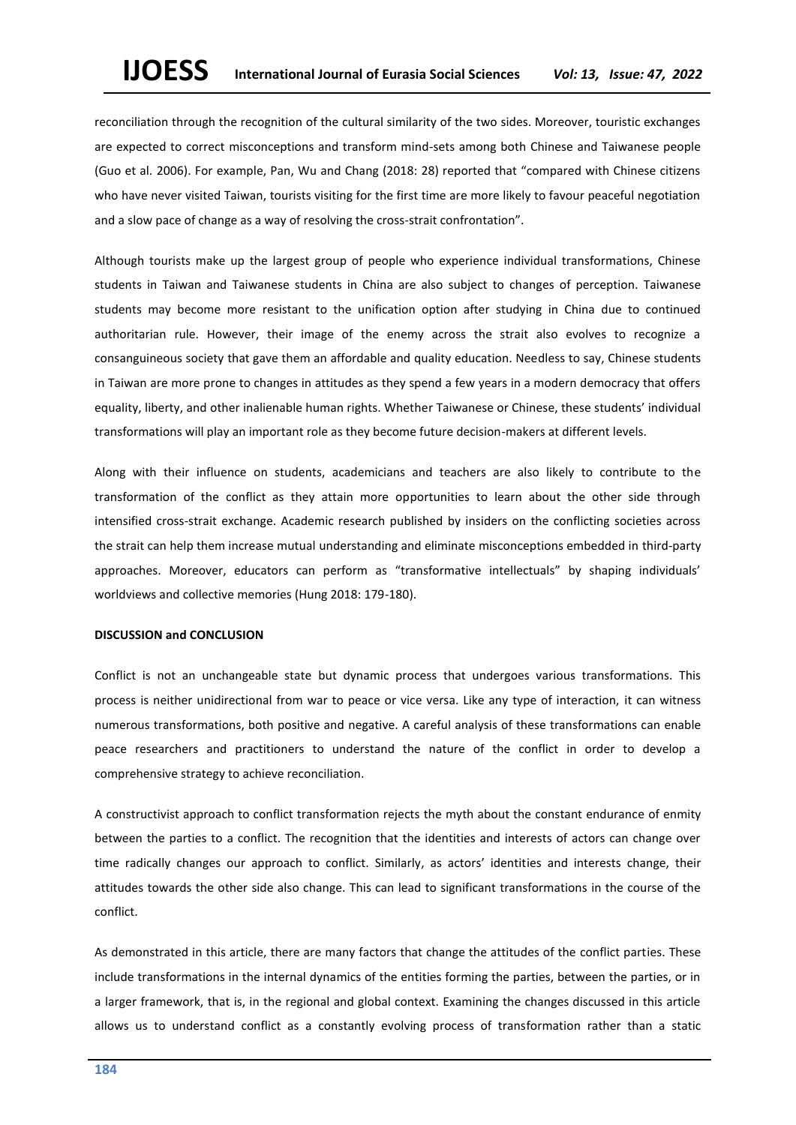reconciliation through the recognition of the cultural similarity of the two sides. Moreover, touristic exchanges are expected to correct misconceptions and transform mind-sets among both Chinese and Taiwanese people (Guo et al. 2006). For example, Pan, Wu and Chang (2018: 28) reported that "compared with Chinese citizens who have never visited Taiwan, tourists visiting for the first time are more likely to favour peaceful negotiation and a slow pace of change as a way of resolving the cross-strait confrontation".

Although tourists make up the largest group of people who experience individual transformations, Chinese students in Taiwan and Taiwanese students in China are also subject to changes of perception. Taiwanese students may become more resistant to the unification option after studying in China due to continued authoritarian rule. However, their image of the enemy across the strait also evolves to recognize a consanguineous society that gave them an affordable and quality education. Needless to say, Chinese students in Taiwan are more prone to changes in attitudes as they spend a few years in a modern democracy that offers equality, liberty, and other inalienable human rights. Whether Taiwanese or Chinese, these students' individual transformations will play an important role as they become future decision-makers at different levels.

Along with their influence on students, academicians and teachers are also likely to contribute to the transformation of the conflict as they attain more opportunities to learn about the other side through intensified cross-strait exchange. Academic research published by insiders on the conflicting societies across the strait can help them increase mutual understanding and eliminate misconceptions embedded in third-party approaches. Moreover, educators can perform as "transformative intellectuals" by shaping individuals' worldviews and collective memories (Hung 2018: 179-180).

#### **DISCUSSION and CONCLUSION**

Conflict is not an unchangeable state but dynamic process that undergoes various transformations. This process is neither unidirectional from war to peace or vice versa. Like any type of interaction, it can witness numerous transformations, both positive and negative. A careful analysis of these transformations can enable peace researchers and practitioners to understand the nature of the conflict in order to develop a comprehensive strategy to achieve reconciliation.

A constructivist approach to conflict transformation rejects the myth about the constant endurance of enmity between the parties to a conflict. The recognition that the identities and interests of actors can change over time radically changes our approach to conflict. Similarly, as actors' identities and interests change, their attitudes towards the other side also change. This can lead to significant transformations in the course of the conflict.

As demonstrated in this article, there are many factors that change the attitudes of the conflict parties. These include transformations in the internal dynamics of the entities forming the parties, between the parties, or in a larger framework, that is, in the regional and global context. Examining the changes discussed in this article allows us to understand conflict as a constantly evolving process of transformation rather than a static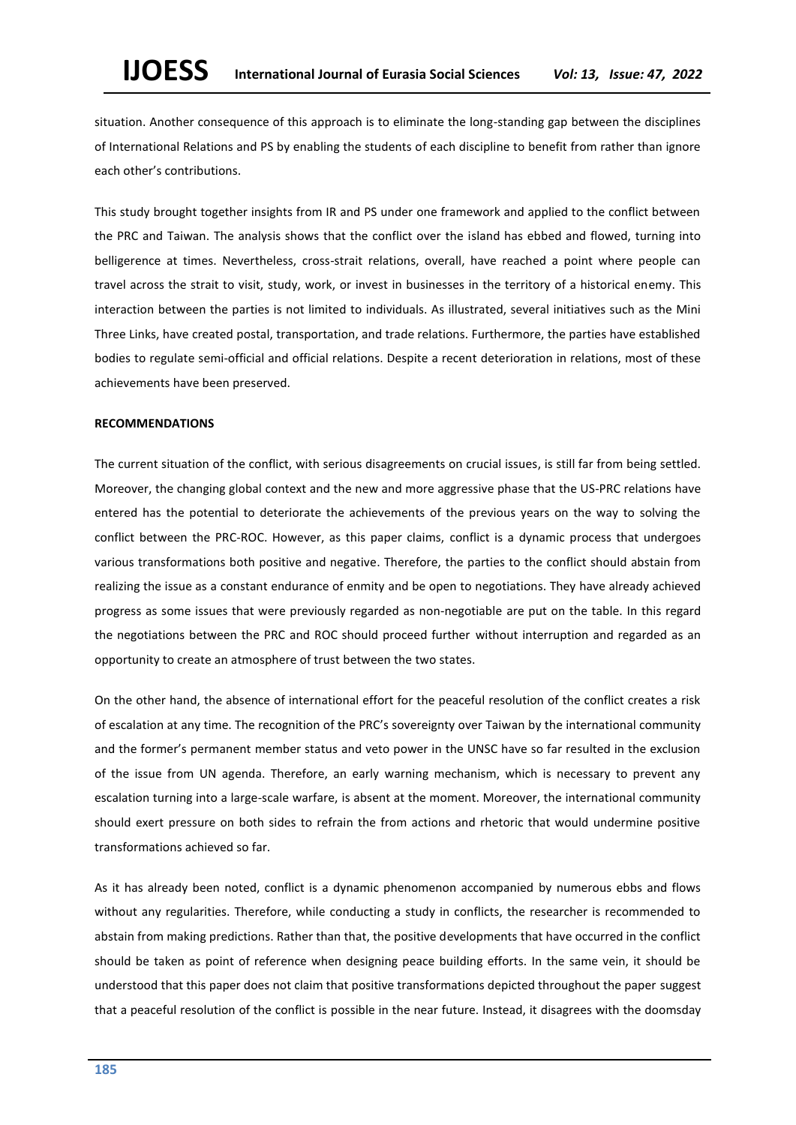situation. Another consequence of this approach is to eliminate the long-standing gap between the disciplines of International Relations and PS by enabling the students of each discipline to benefit from rather than ignore each other's contributions.

This study brought together insights from IR and PS under one framework and applied to the conflict between the PRC and Taiwan. The analysis shows that the conflict over the island has ebbed and flowed, turning into belligerence at times. Nevertheless, cross-strait relations, overall, have reached a point where people can travel across the strait to visit, study, work, or invest in businesses in the territory of a historical enemy. This interaction between the parties is not limited to individuals. As illustrated, several initiatives such as the Mini Three Links, have created postal, transportation, and trade relations. Furthermore, the parties have established bodies to regulate semi-official and official relations. Despite a recent deterioration in relations, most of these achievements have been preserved.

#### **RECOMMENDATIONS**

The current situation of the conflict, with serious disagreements on crucial issues, is still far from being settled. Moreover, the changing global context and the new and more aggressive phase that the US-PRC relations have entered has the potential to deteriorate the achievements of the previous years on the way to solving the conflict between the PRC-ROC. However, as this paper claims, conflict is a dynamic process that undergoes various transformations both positive and negative. Therefore, the parties to the conflict should abstain from realizing the issue as a constant endurance of enmity and be open to negotiations. They have already achieved progress as some issues that were previously regarded as non-negotiable are put on the table. In this regard the negotiations between the PRC and ROC should proceed further without interruption and regarded as an opportunity to create an atmosphere of trust between the two states.

On the other hand, the absence of international effort for the peaceful resolution of the conflict creates a risk of escalation at any time. The recognition of the PRC's sovereignty over Taiwan by the international community and the former's permanent member status and veto power in the UNSC have so far resulted in the exclusion of the issue from UN agenda. Therefore, an early warning mechanism, which is necessary to prevent any escalation turning into a large-scale warfare, is absent at the moment. Moreover, the international community should exert pressure on both sides to refrain the from actions and rhetoric that would undermine positive transformations achieved so far.

As it has already been noted, conflict is a dynamic phenomenon accompanied by numerous ebbs and flows without any regularities. Therefore, while conducting a study in conflicts, the researcher is recommended to abstain from making predictions. Rather than that, the positive developments that have occurred in the conflict should be taken as point of reference when designing peace building efforts. In the same vein, it should be understood that this paper does not claim that positive transformations depicted throughout the paper suggest that a peaceful resolution of the conflict is possible in the near future. Instead, it disagrees with the doomsday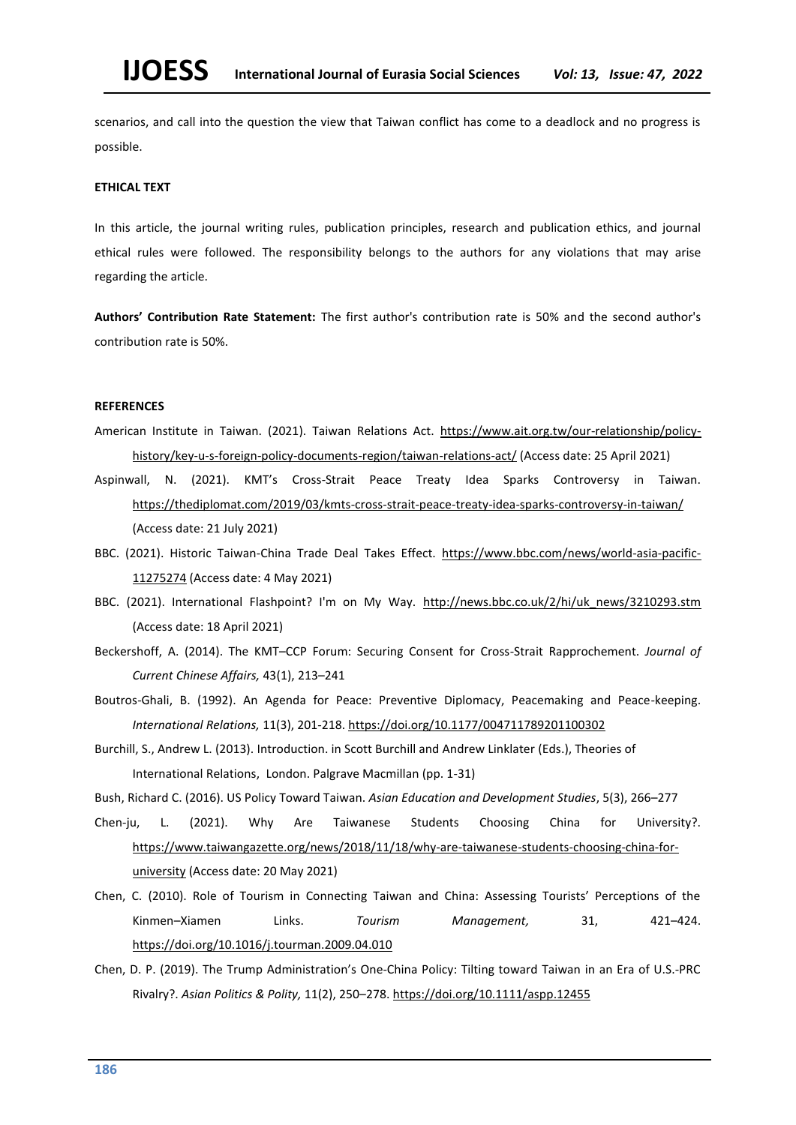scenarios, and call into the question the view that Taiwan conflict has come to a deadlock and no progress is possible.

#### **ETHICAL TEXT**

In this article, the journal writing rules, publication principles, research and publication ethics, and journal ethical rules were followed. The responsibility belongs to the authors for any violations that may arise regarding the article.

**Authors' Contribution Rate Statement:** The first author's contribution rate is 50% and the second author's contribution rate is 50%.

# **REFERENCES**

- American Institute in Taiwan. (2021). Taiwan Relations Act. [https://www.ait.org.tw/our-relationship/policy](https://www.ait.org.tw/our-relationship/policy-history/key-u-s-foreign-policy-documents-region/taiwan-relations-act/)[history/key-u-s-foreign-policy-documents-region/taiwan-relations-act/](https://www.ait.org.tw/our-relationship/policy-history/key-u-s-foreign-policy-documents-region/taiwan-relations-act/) (Access date: 25 April 2021)
- Aspinwall, N. (2021). KMT's Cross-Strait Peace Treaty Idea Sparks Controversy in Taiwan. <https://thediplomat.com/2019/03/kmts-cross-strait-peace-treaty-idea-sparks-controversy-in-taiwan/> (Access date: 21 July 2021)
- BBC. (2021). Historic Taiwan-China Trade Deal Takes Effect. [https://www.bbc.com/news/world-asia-pacific-](https://www.bbc.com/news/world-asia-pacific-11275274)[11275274](https://www.bbc.com/news/world-asia-pacific-11275274) (Access date: 4 May 2021)
- BBC. (2021). International Flashpoint? I'm on My Way. [http://news.bbc.co.uk/2/hi/uk\\_news/3210293.stm](http://news.bbc.co.uk/2/hi/uk_news/3210293.stm) (Access date: 18 April 2021)
- Beckershoff, A. (2014). The KMT–CCP Forum: Securing Consent for Cross-Strait Rapprochement. *Journal of Current Chinese Affairs,* 43(1), 213–241
- Boutros-Ghali, B. (1992). An Agenda for Peace: Preventive Diplomacy, Peacemaking and Peace-keeping. *International Relations,* 11(3), 201-218. <https://doi.org/10.1177/004711789201100302>
- Burchill, S., Andrew L. (2013). Introduction. in Scott Burchill and Andrew Linklater (Eds.), Theories of International Relations, London. Palgrave Macmillan (pp. 1-31)
- Bush, Richard C. (2016). US Policy Toward Taiwan. *Asian Education and Development Studies*, 5(3), 266–277
- Chen-ju, L. (2021). Why Are Taiwanese Students Choosing China for University?. [https://www.taiwangazette.org/news/2018/11/18/why-are-taiwanese-students-choosing-china-for](https://www.taiwangazette.org/news/2018/11/18/why-are-taiwanese-students-choosing-china-for-university)[university](https://www.taiwangazette.org/news/2018/11/18/why-are-taiwanese-students-choosing-china-for-university) (Access date: 20 May 2021)
- Chen, C. (2010). Role of Tourism in Connecting Taiwan and China: Assessing Tourists' Perceptions of the Kinmen–Xiamen Links. *Tourism Management,* 31, 421–424. <https://doi.org/10.1016/j.tourman.2009.04.010>
- Chen, D. P. (2019). The Trump Administration's One‐China Policy: Tilting toward Taiwan in an Era of U.S.‐PRC Rivalry?. *Asian Politics & Polity,* 11(2), 250–278. <https://doi.org/10.1111/aspp.12455>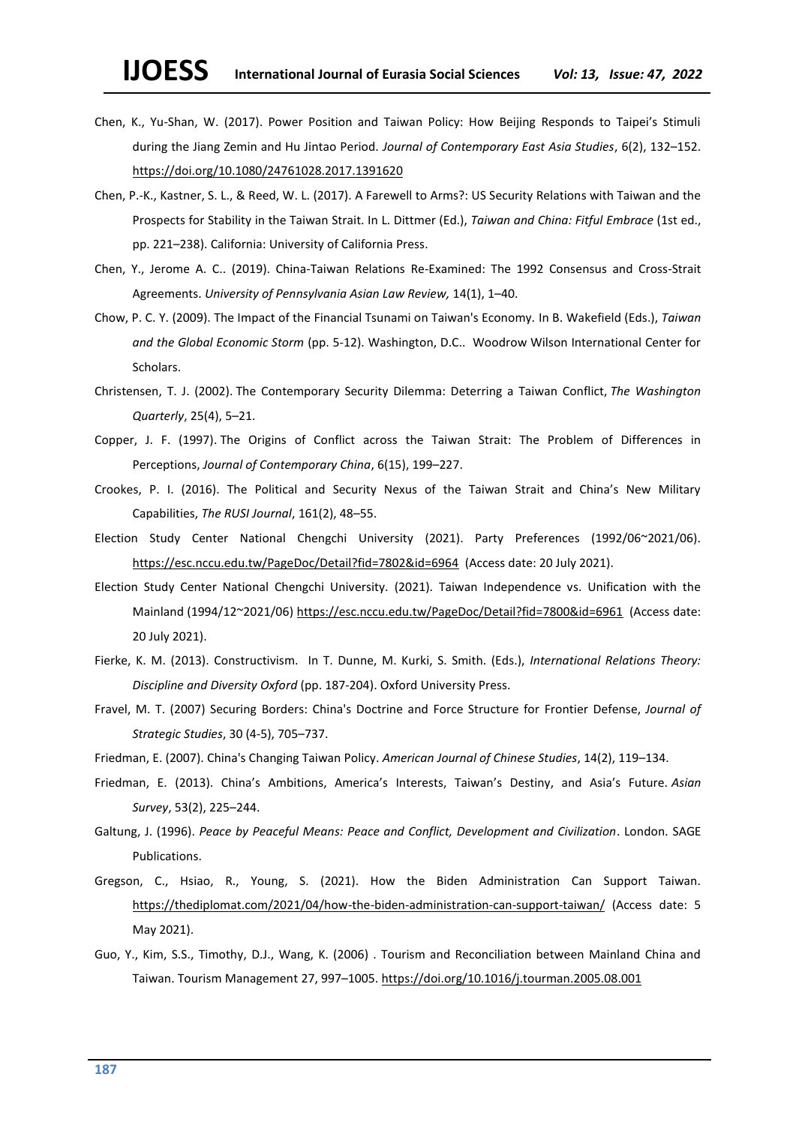- Chen, K., Yu-Shan, W. (2017). Power Position and Taiwan Policy: How Beijing Responds to Taipei's Stimuli during the Jiang Zemin and Hu Jintao Period. *Journal of Contemporary East Asia Studies*, 6(2), 132–152. <https://doi.org/10.1080/24761028.2017.1391620>
- Chen, P.-K., Kastner, S. L., & Reed, W. L. (2017). A Farewell to Arms?: US Security Relations with Taiwan and the Prospects for Stability in the Taiwan Strait. In L. Dittmer (Ed.), *Taiwan and China: Fitful Embrace* (1st ed., pp. 221–238). California: University of California Press.
- Chen, Y., Jerome A. C.. (2019). China-Taiwan Relations Re-Examined: The 1992 Consensus and Cross-Strait Agreements. *University of Pennsylvania Asian Law Review,* 14(1), 1–40.
- Chow, P. C. Y. (2009). The Impact of the Financial Tsunami on Taiwan's Economy. In B. Wakefield (Eds.), *Taiwan and the Global Economic Storm* (pp. 5-12). Washington, D.C.. Woodrow Wilson International Center for Scholars.
- Christensen, T. J. (2002). The Contemporary Security Dilemma: Deterring a Taiwan Conflict, *The Washington Quarterly*, 25(4), 5–21.
- Copper, J. F. (1997). The Origins of Conflict across the Taiwan Strait: The Problem of Differences in Perceptions, *Journal of Contemporary China*, 6(15), 199–227.
- Crookes, P. I. (2016). The Political and Security Nexus of the Taiwan Strait and China's New Military Capabilities, *The RUSI Journal*, 161(2), 48–55.
- Election Study Center National Chengchi University (2021). Party Preferences (1992/06~2021/06). <https://esc.nccu.edu.tw/PageDoc/Detail?fid=7802&id=6964>(Access date: 20 July 2021).
- Election Study Center National Chengchi University. (2021). Taiwan Independence vs. Unification with the Mainland (1994/12~2021/06)<https://esc.nccu.edu.tw/PageDoc/Detail?fid=7800&id=6961>(Access date: 20 July 2021).
- Fierke, K. M. (2013). Constructivism. In T. Dunne, M. Kurki, S. Smith. (Eds.), *International Relations Theory: Discipline and Diversity Oxford* (pp. 187-204). Oxford University Press.
- Fravel, M. T. (2007) Securing Borders: China's Doctrine and Force Structure for Frontier Defense, *Journal of Strategic Studies*, 30 (4-5), 705–737.
- Friedman, E. (2007). China's Changing Taiwan Policy. *American Journal of Chinese Studies*, 14(2), 119–134.
- Friedman, E. (2013). China's Ambitions, America's Interests, Taiwan's Destiny, and Asia's Future. *Asian Survey*, 53(2), 225–244.
- Galtung, J. (1996). *Peace by Peaceful Means: Peace and Conflict, Development and Civilization*. London. SAGE Publications.
- Gregson, C., Hsiao, R., Young, S. (2021). How the Biden Administration Can Support Taiwan. <https://thediplomat.com/2021/04/how-the-biden-administration-can-support-taiwan/> (Access date: 5 May 2021).
- Guo, Y., Kim, S.S., Timothy, D.J., Wang, K. (2006) . Tourism and Reconciliation between Mainland China and Taiwan. Tourism Management 27, 997–1005. <https://doi.org/10.1016/j.tourman.2005.08.001>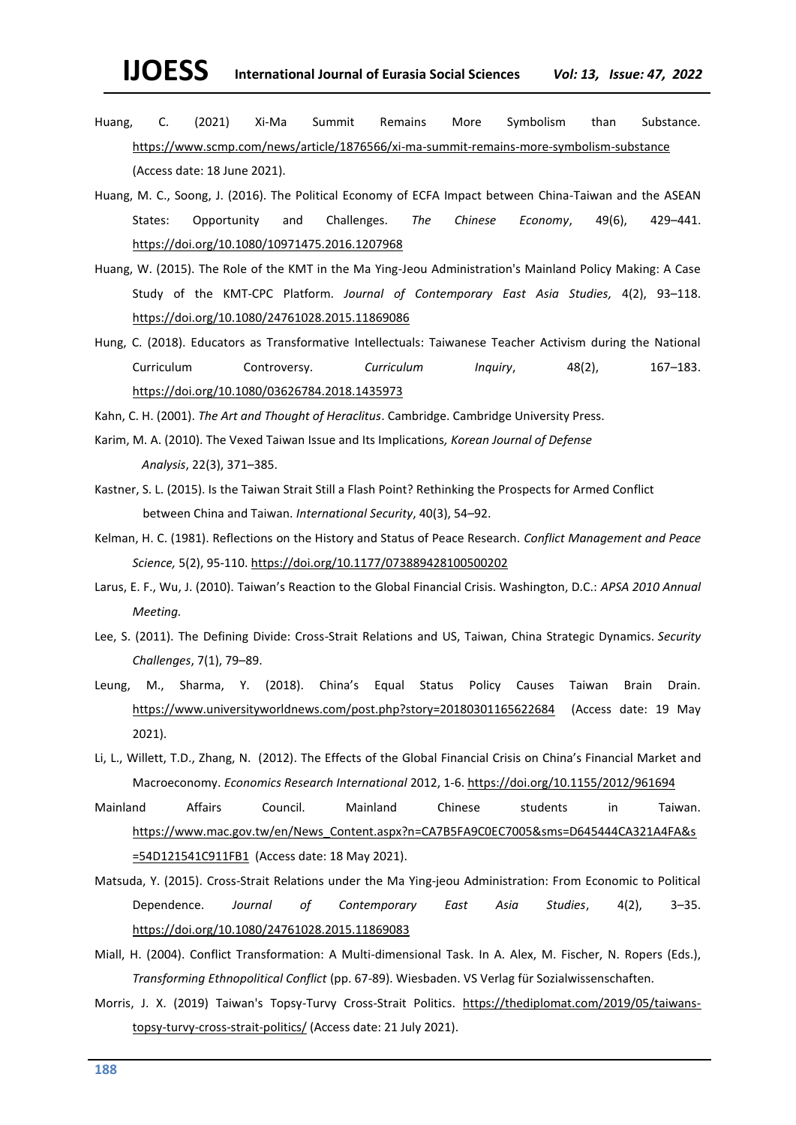# **IJOESS International Journal of Eurasia Social Sciences** *Vol: 13, Issue: 47, 2022*

- Huang, C. (2021) Xi-Ma Summit Remains More Symbolism than Substance. <https://www.scmp.com/news/article/1876566/xi-ma-summit-remains-more-symbolism-substance> (Access date: 18 June 2021).
- Huang, M. C., Soong, J. (2016). The Political Economy of ECFA Impact between China-Taiwan and the ASEAN States: Opportunity and Challenges. *The Chinese Economy*, 49(6), 429–441. <https://doi.org/10.1080/10971475.2016.1207968>
- Huang, W. (2015). The Role of the KMT in the Ma Ying-Jeou Administration's Mainland Policy Making: A Case Study of the KMT-CPC Platform. *Journal of Contemporary East Asia Studies,* 4(2), 93–118. <https://doi.org/10.1080/24761028.2015.11869086>
- Hung, C. (2018). Educators as Transformative Intellectuals: Taiwanese Teacher Activism during the National Curriculum Controversy. *Curriculum Inquiry*, 48(2), 167–183. <https://doi.org/10.1080/03626784.2018.1435973>

Kahn, C. H. (2001). *The Art and Thought of Heraclitus*. Cambridge. Cambridge University Press.

- Karim, M. A. (2010). The Vexed Taiwan Issue and Its Implications*, Korean Journal of Defense Analysis*, 22(3), 371–385.
- Kastner, S. L. (2015). Is the Taiwan Strait Still a Flash Point? Rethinking the Prospects for Armed Conflict between China and Taiwan. *International Security*, 40(3), 54–92.
- Kelman, H. C. (1981). Reflections on the History and Status of Peace Research. *Conflict Management and Peace Science,* 5(2), 95-110. <https://doi.org/10.1177/073889428100500202>
- Larus, E. F., Wu, J. (2010). Taiwan's Reaction to the Global Financial Crisis. Washington, D.C.: *APSA 2010 Annual Meeting.*
- Lee, S. (2011). The Defining Divide: Cross-Strait Relations and US, Taiwan, China Strategic Dynamics. *Security Challenges*, 7(1), 79–89.
- Leung, M., Sharma, Y. (2018). China's Equal Status Policy Causes Taiwan Brain Drain. <https://www.universityworldnews.com/post.php?story=20180301165622684> (Access date: 19 May 2021).
- Li, L., Willett, T.D., Zhang, N. (2012). The Effects of the Global Financial Crisis on China's Financial Market and Macroeconomy. *Economics Research International* 2012, 1-6. <https://doi.org/10.1155/2012/961694>
- Mainland Affairs Council. Mainland Chinese students in Taiwan. [https://www.mac.gov.tw/en/News\\_Content.aspx?n=CA7B5FA9C0EC7005&sms=D645444CA321A4FA&s](https://www.mac.gov.tw/en/News_Content.aspx?n=CA7B5FA9C0EC7005&sms=D645444CA321A4FA&s=54D121541C911FB1) [=54D121541C911FB1](https://www.mac.gov.tw/en/News_Content.aspx?n=CA7B5FA9C0EC7005&sms=D645444CA321A4FA&s=54D121541C911FB1) (Access date: 18 May 2021).
- Matsuda, Y. (2015). Cross-Strait Relations under the Ma Ying-jeou Administration: From Economic to Political Dependence. *Journal of Contemporary East Asia Studies*, 4(2), 3–35. <https://doi.org/10.1080/24761028.2015.11869083>
- Miall, H. (2004). Conflict Transformation: A Multi-dimensional Task. In A. Alex, M. Fischer, N. Ropers (Eds.), *Transforming Ethnopolitical Conflict* (pp. 67-89). Wiesbaden. VS Verlag für Sozialwissenschaften.
- Morris, J. X. (2019) Taiwan's Topsy-Turvy Cross-Strait Politics. [https://thediplomat.com/2019/05/taiwans](https://thediplomat.com/2019/05/taiwans-topsy-turvy-cross-strait-politics/)[topsy-turvy-cross-strait-politics/](https://thediplomat.com/2019/05/taiwans-topsy-turvy-cross-strait-politics/) (Access date: 21 July 2021).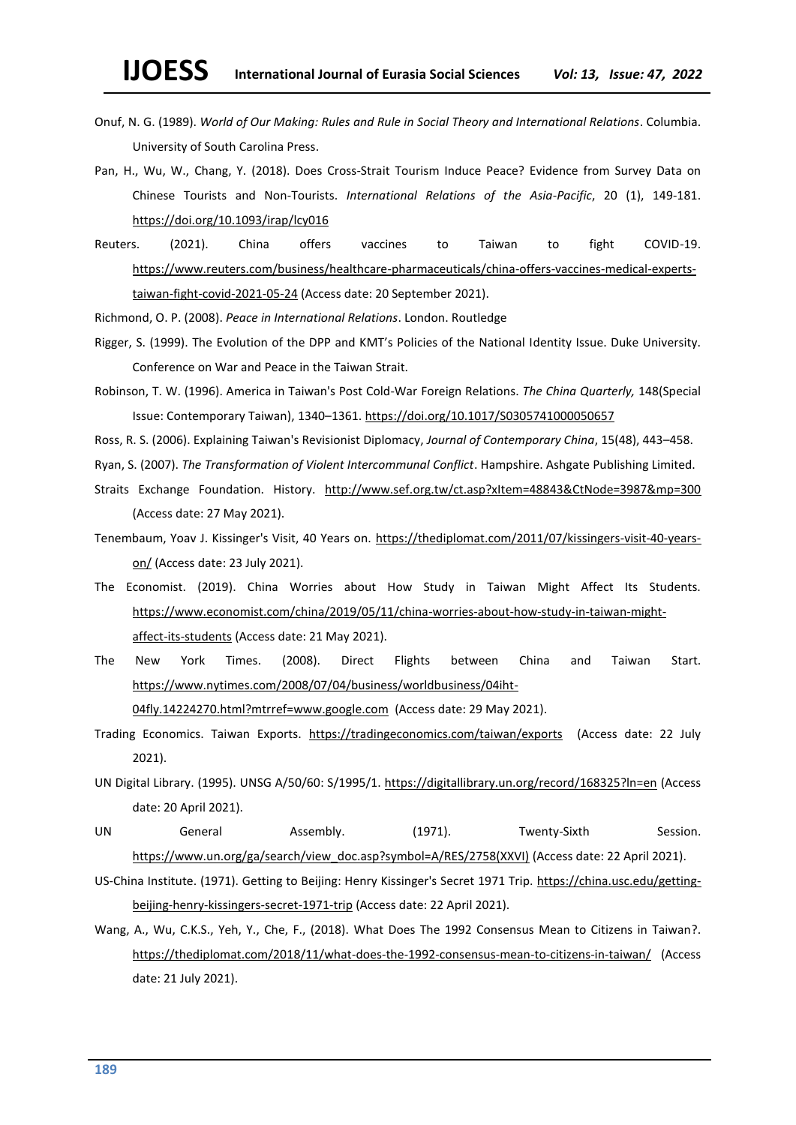- Onuf, N. G. (1989). *World of Our Making: Rules and Rule in Social Theory and International Relations*. Columbia. University of South Carolina Press.
- Pan, H., Wu, W., Chang, Y. (2018). Does Cross-Strait Tourism Induce Peace? Evidence from Survey Data on Chinese Tourists and Non-Tourists. *International Relations of the Asia-Pacific*, 20 (1), 149-181. <https://doi.org/10.1093/irap/lcy016>
- Reuters. (2021). China offers vaccines to Taiwan to fight COVID-19. [https://www.reuters.com/business/healthcare-pharmaceuticals/china-offers-vaccines-medical-experts](https://www.reuters.com/business/healthcare-pharmaceuticals/china-offers-vaccines-medical-experts-taiwan-fight-covid-2021-05-24)[taiwan-fight-covid-2021-05-24](https://www.reuters.com/business/healthcare-pharmaceuticals/china-offers-vaccines-medical-experts-taiwan-fight-covid-2021-05-24) (Access date: 20 September 2021).
- Richmond, O. P. (2008). *Peace in International Relations*. London. Routledge
- Rigger, S. (1999). The Evolution of the DPP and KMT's Policies of the National Identity Issue. Duke University. Conference on War and Peace in the Taiwan Strait.
- Robinson, T. W. (1996). America in Taiwan's Post Cold-War Foreign Relations. *The China Quarterly,* 148(Special Issue: Contemporary Taiwan), 1340–1361. <https://doi.org/10.1017/S0305741000050657>
- Ross, R. S. (2006). Explaining Taiwan's Revisionist Diplomacy, *Journal of Contemporary China*, 15(48), 443–458.
- Ryan, S. (2007). *The Transformation of Violent Intercommunal Conflict*. Hampshire. Ashgate Publishing Limited.
- Straits Exchange Foundation. History. <http://www.sef.org.tw/ct.asp?xItem=48843&CtNode=3987&mp=300> (Access date: 27 May 2021).
- Tenembaum, Yoav J. Kissinger's Visit, 40 Years on. [https://thediplomat.com/2011/07/kissingers-visit-40-years](https://thediplomat.com/2011/07/kissingers-visit-40-years-on/)[on/](https://thediplomat.com/2011/07/kissingers-visit-40-years-on/) (Access date: 23 July 2021).
- The Economist. (2019). China Worries about How Study in Taiwan Might Affect Its Students. [https://www.economist.com/china/2019/05/11/china-worries-about-how-study-in-taiwan-might](https://www.economist.com/china/2019/05/11/china-worries-about-how-study-in-taiwan-might-affect-its-students)[affect-its-students](https://www.economist.com/china/2019/05/11/china-worries-about-how-study-in-taiwan-might-affect-its-students) (Access date: 21 May 2021).
- The New York Times. (2008). Direct Flights between China and Taiwan Start. [https://www.nytimes.com/2008/07/04/business/worldbusiness/04iht-](https://www.nytimes.com/2008/07/04/business/worldbusiness/04iht-04fly.14224270.html?mtrref=www.google.com)[04fly.14224270.html?mtrref=www.google.com](https://www.nytimes.com/2008/07/04/business/worldbusiness/04iht-04fly.14224270.html?mtrref=www.google.com) (Access date: 29 May 2021).
- Trading Economics. Taiwan Exports. <https://tradingeconomics.com/taiwan/exports>(Access date: 22 July 2021).
- UN Digital Library. (1995). UNSG A/50/60: S/1995/1.<https://digitallibrary.un.org/record/168325?ln=en> (Access date: 20 April 2021).
- UN General Assembly. (1971). Twenty-Sixth Session. [https://www.un.org/ga/search/view\\_doc.asp?symbol=A/RES/2758\(XXVI\)](https://www.un.org/ga/search/view_doc.asp?symbol=A/RES/2758(XXVI)) (Access date: 22 April 2021).
- US-China Institute. (1971). Getting to Beijing: Henry Kissinger's Secret 1971 Trip. [https://china.usc.edu/getting](https://china.usc.edu/getting-beijing-henry-kissingers-secret-1971-trip)[beijing-henry-kissingers-secret-1971-trip](https://china.usc.edu/getting-beijing-henry-kissingers-secret-1971-trip) (Access date: 22 April 2021).
- Wang, A., Wu, C.K.S., Yeh, Y., Che, F., (2018). What Does The 1992 Consensus Mean to Citizens in Taiwan?. <https://thediplomat.com/2018/11/what-does-the-1992-consensus-mean-to-citizens-in-taiwan/>(Access date: 21 July 2021).